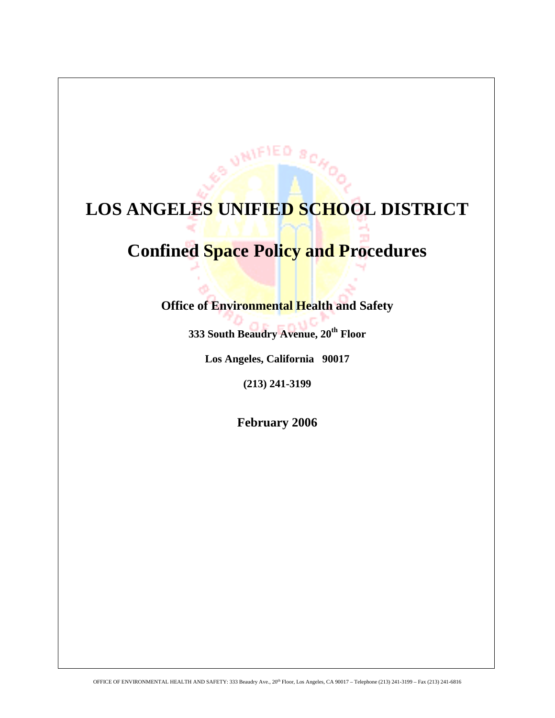# **LOS ANGELES UNIFIED SCHOOL DISTRICT**

**VAIFIED** 

# **Confined Space Policy and Procedures**

# **Office of Environmental Health and Safety**

**333 South Beaudry Avenue, 20th Floor** 

**Los Angeles, California 90017** 

**(213) 241-3199** 

**February 2006**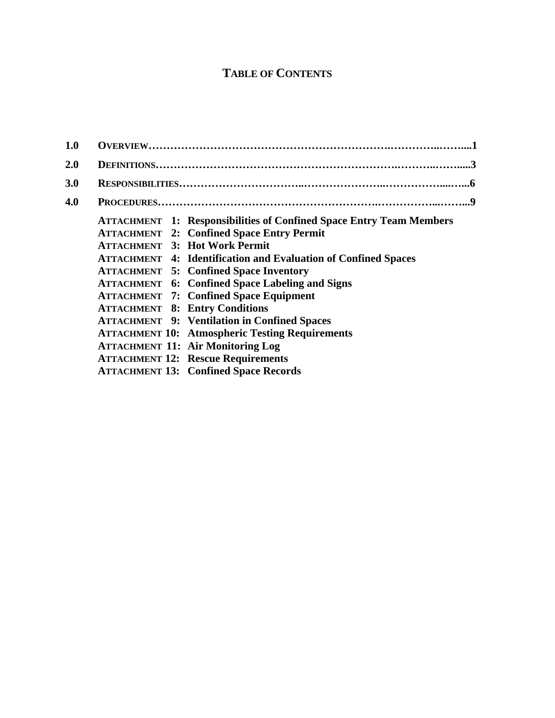# **TABLE OF CONTENTS**

| 1.0        |                                                                                                                                                                                                                                                                                                                                                                                                                                                                                                             |
|------------|-------------------------------------------------------------------------------------------------------------------------------------------------------------------------------------------------------------------------------------------------------------------------------------------------------------------------------------------------------------------------------------------------------------------------------------------------------------------------------------------------------------|
| 2.0        |                                                                                                                                                                                                                                                                                                                                                                                                                                                                                                             |
| <b>3.0</b> |                                                                                                                                                                                                                                                                                                                                                                                                                                                                                                             |
| 4.0        |                                                                                                                                                                                                                                                                                                                                                                                                                                                                                                             |
|            | <b>ATTACHMENT</b> 1: Responsibilities of Confined Space Entry Team Members<br><b>ATTACHMENT 2: Confined Space Entry Permit</b><br><b>ATTACHMENT 3: Hot Work Permit</b><br><b>ATTACHMENT</b> 4: Identification and Evaluation of Confined Spaces<br><b>ATTACHMENT 5: Confined Space Inventory</b><br><b>ATTACHMENT</b> 6: Confined Space Labeling and Signs<br><b>ATTACHMENT 7: Confined Space Equipment</b><br><b>ATTACHMENT 8: Entry Conditions</b><br><b>ATTACHMENT 9: Ventilation in Confined Spaces</b> |
|            | <b>ATTACHMENT 10: Atmospheric Testing Requirements</b><br><b>ATTACHMENT 11: Air Monitoring Log</b><br><b>ATTACHMENT 12: Rescue Requirements</b><br><b>ATTACHMENT 13: Confined Space Records</b>                                                                                                                                                                                                                                                                                                             |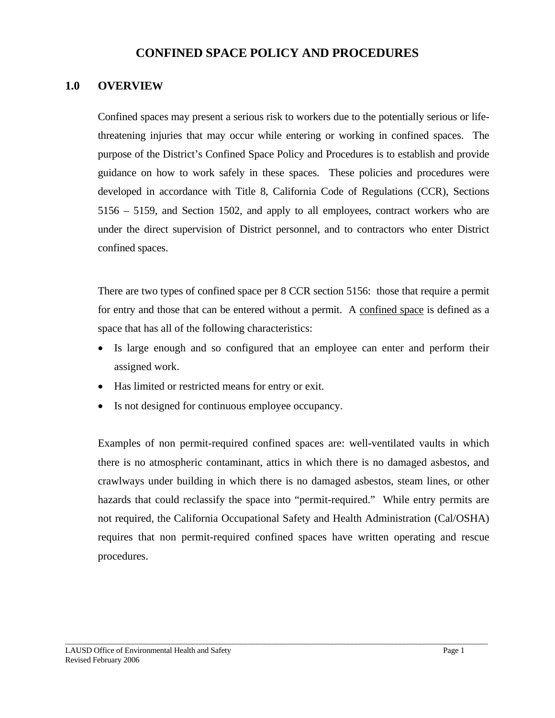# **CONFINED SPACE POLICY AND PROCEDURES**

# **1.0 OVERVIEW**

Confined spaces may present a serious risk to workers due to the potentially serious or lifethreatening injuries that may occur while entering or working in confined spaces. The purpose of the District's Confined Space Policy and Procedures is to establish and provide guidance on how to work safely in these spaces. These policies and procedures were developed in accordance with Title 8, California Code of Regulations (CCR), Sections 5156 – 5159, and Section 1502, and apply to all employees, contract workers who are under the direct supervision of District personnel, and to contractors who enter District confined spaces.

There are two types of confined space per 8 CCR section 5156: those that require a permit for entry and those that can be entered without a permit. A confined space is defined as a space that has all of the following characteristics:

- Is large enough and so configured that an employee can enter and perform their assigned work.
- Has limited or restricted means for entry or exit.
- Is not designed for continuous employee occupancy.

Examples of non permit-required confined spaces are: well-ventilated vaults in which there is no atmospheric contaminant, attics in which there is no damaged asbestos, and crawlways under building in which there is no damaged asbestos, steam lines, or other hazards that could reclassify the space into "permit-required." While entry permits are not required, the California Occupational Safety and Health Administration (Cal/OSHA) requires that non permit-required confined spaces have written operating and rescue procedures.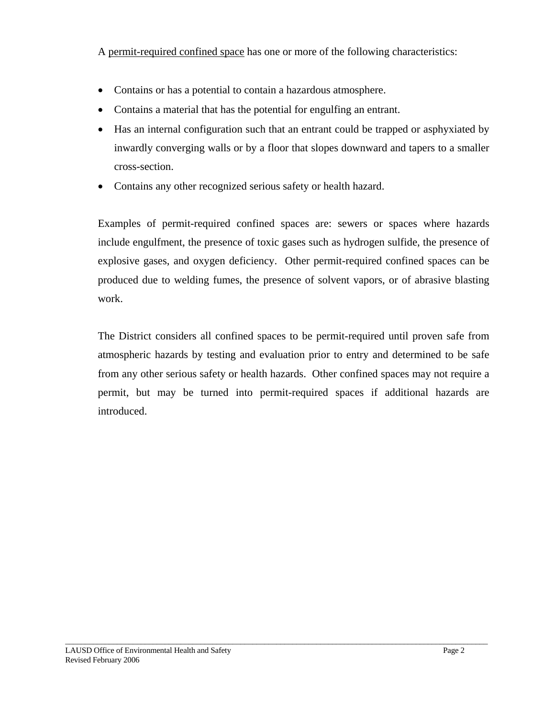A permit-required confined space has one or more of the following characteristics:

- Contains or has a potential to contain a hazardous atmosphere.
- Contains a material that has the potential for engulfing an entrant.
- Has an internal configuration such that an entrant could be trapped or asphyxiated by inwardly converging walls or by a floor that slopes downward and tapers to a smaller cross-section.
- Contains any other recognized serious safety or health hazard.

Examples of permit-required confined spaces are: sewers or spaces where hazards include engulfment, the presence of toxic gases such as hydrogen sulfide, the presence of explosive gases, and oxygen deficiency. Other permit-required confined spaces can be produced due to welding fumes, the presence of solvent vapors, or of abrasive blasting work.

The District considers all confined spaces to be permit-required until proven safe from atmospheric hazards by testing and evaluation prior to entry and determined to be safe from any other serious safety or health hazards. Other confined spaces may not require a permit, but may be turned into permit-required spaces if additional hazards are introduced.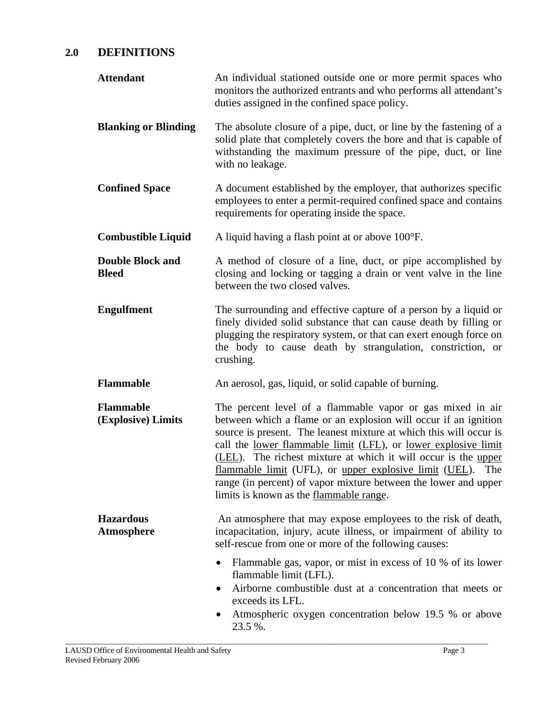# **2.0 DEFINITIONS**

| <b>Attendant</b>                        | An individual stationed outside one or more permit spaces who<br>monitors the authorized entrants and who performs all attendant's<br>duties assigned in the confined space policy.                                                                                                                                                                                                                                                                                                                                               |
|-----------------------------------------|-----------------------------------------------------------------------------------------------------------------------------------------------------------------------------------------------------------------------------------------------------------------------------------------------------------------------------------------------------------------------------------------------------------------------------------------------------------------------------------------------------------------------------------|
| <b>Blanking or Blinding</b>             | The absolute closure of a pipe, duct, or line by the fastening of a<br>solid plate that completely covers the bore and that is capable of<br>withstanding the maximum pressure of the pipe, duct, or line<br>with no leakage.                                                                                                                                                                                                                                                                                                     |
| <b>Confined Space</b>                   | A document established by the employer, that authorizes specific<br>employees to enter a permit-required confined space and contains<br>requirements for operating inside the space.                                                                                                                                                                                                                                                                                                                                              |
| <b>Combustible Liquid</b>               | A liquid having a flash point at or above 100°F.                                                                                                                                                                                                                                                                                                                                                                                                                                                                                  |
| <b>Double Block and</b><br><b>Bleed</b> | A method of closure of a line, duct, or pipe accomplished by<br>closing and locking or tagging a drain or vent valve in the line<br>between the two closed valves.                                                                                                                                                                                                                                                                                                                                                                |
| <b>Engulfment</b>                       | The surrounding and effective capture of a person by a liquid or<br>finely divided solid substance that can cause death by filling or<br>plugging the respiratory system, or that can exert enough force on<br>the body to cause death by strangulation, constriction, or<br>crushing.                                                                                                                                                                                                                                            |
| <b>Flammable</b>                        | An aerosol, gas, liquid, or solid capable of burning.                                                                                                                                                                                                                                                                                                                                                                                                                                                                             |
| <b>Flammable</b><br>(Explosive) Limits  | The percent level of a flammable vapor or gas mixed in air<br>between which a flame or an explosion will occur if an ignition<br>source is present. The leanest mixture at which this will occur is<br>call the <u>lower flammable limit</u> (LFL), or <u>lower explosive limit</u><br>(LEL). The richest mixture at which it will occur is the upper<br>flammable limit (UFL), or upper explosive limit (UEL). The<br>range (in percent) of vapor mixture between the lower and upper<br>limits is known as the flammable range. |
| <b>Hazardous</b><br>Atmosphere          | An atmosphere that may expose employees to the risk of death,<br>incapacitation, injury, acute illness, or impairment of ability to<br>self-rescue from one or more of the following causes:                                                                                                                                                                                                                                                                                                                                      |
|                                         | Flammable gas, vapor, or mist in excess of 10 % of its lower<br>٠<br>flammable limit (LFL).<br>Airborne combustible dust at a concentration that meets or<br>٠<br>exceeds its LFL.<br>Atmospheric oxygen concentration below 19.5 % or above<br>٠<br>23.5 %.                                                                                                                                                                                                                                                                      |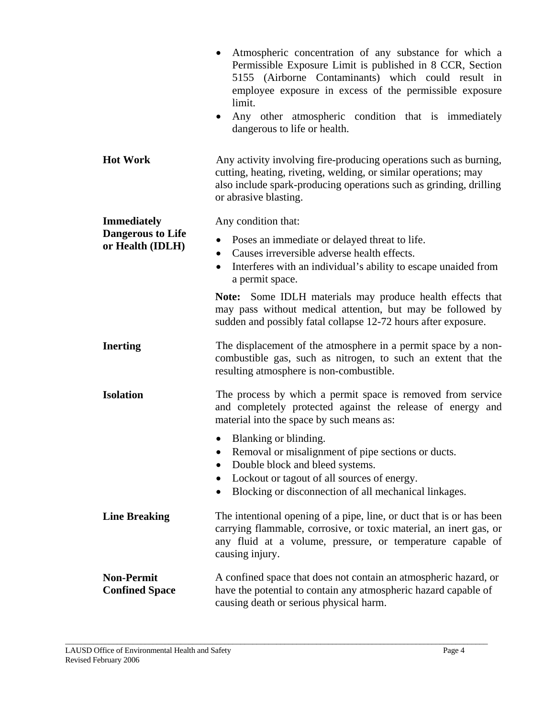|                                              | Atmospheric concentration of any substance for which a<br>Permissible Exposure Limit is published in 8 CCR, Section<br>5155 (Airborne Contaminants) which could result in<br>employee exposure in excess of the permissible exposure<br>limit.<br>Any other atmospheric condition that is immediately<br>dangerous to life or health. |
|----------------------------------------------|---------------------------------------------------------------------------------------------------------------------------------------------------------------------------------------------------------------------------------------------------------------------------------------------------------------------------------------|
| <b>Hot Work</b>                              | Any activity involving fire-producing operations such as burning,<br>cutting, heating, riveting, welding, or similar operations; may<br>also include spark-producing operations such as grinding, drilling<br>or abrasive blasting.                                                                                                   |
| <b>Immediately</b>                           | Any condition that:                                                                                                                                                                                                                                                                                                                   |
| <b>Dangerous to Life</b><br>or Health (IDLH) | Poses an immediate or delayed threat to life.<br>$\bullet$<br>Causes irreversible adverse health effects.<br>Interferes with an individual's ability to escape unaided from<br>$\bullet$<br>a permit space.                                                                                                                           |
|                                              | Note: Some IDLH materials may produce health effects that<br>may pass without medical attention, but may be followed by<br>sudden and possibly fatal collapse 12-72 hours after exposure.                                                                                                                                             |
| <b>Inerting</b>                              | The displacement of the atmosphere in a permit space by a non-<br>combustible gas, such as nitrogen, to such an extent that the<br>resulting atmosphere is non-combustible.                                                                                                                                                           |
| <b>Isolation</b>                             | The process by which a permit space is removed from service<br>and completely protected against the release of energy and<br>material into the space by such means as:                                                                                                                                                                |
|                                              | Blanking or blinding.<br>• Removal or misalignment of pipe sections or ducts.<br>Double block and bleed systems.<br>Lockout or tagout of all sources of energy.<br>٠<br>Blocking or disconnection of all mechanical linkages.                                                                                                         |
| <b>Line Breaking</b>                         | The intentional opening of a pipe, line, or duct that is or has been<br>carrying flammable, corrosive, or toxic material, an inert gas, or<br>any fluid at a volume, pressure, or temperature capable of<br>causing injury.                                                                                                           |
| <b>Non-Permit</b><br><b>Confined Space</b>   | A confined space that does not contain an atmospheric hazard, or<br>have the potential to contain any atmospheric hazard capable of<br>causing death or serious physical harm.                                                                                                                                                        |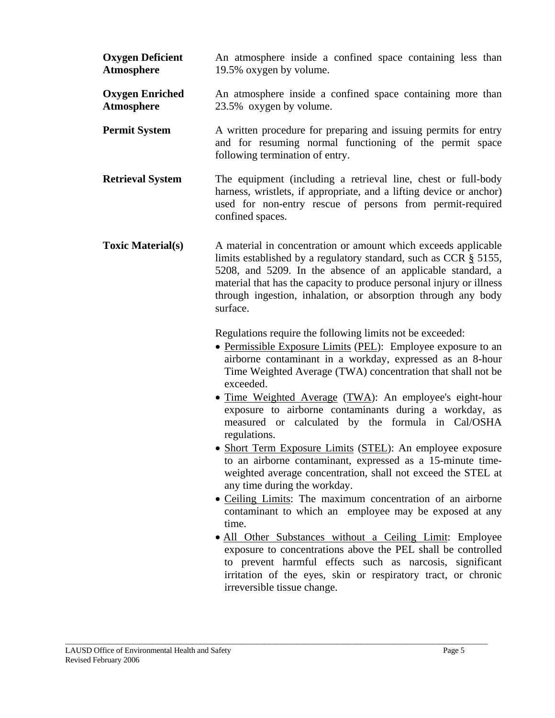| <b>Oxygen Deficient</b><br>Atmosphere | An atmosphere inside a confined space containing less than<br>19.5% oxygen by volume.                                                                                                                                                                                                                                                                                                                                                                                                                                                                                                                                                                                                                                                                                                                                                                                                                                                                                                                                                                                             |
|---------------------------------------|-----------------------------------------------------------------------------------------------------------------------------------------------------------------------------------------------------------------------------------------------------------------------------------------------------------------------------------------------------------------------------------------------------------------------------------------------------------------------------------------------------------------------------------------------------------------------------------------------------------------------------------------------------------------------------------------------------------------------------------------------------------------------------------------------------------------------------------------------------------------------------------------------------------------------------------------------------------------------------------------------------------------------------------------------------------------------------------|
| <b>Oxygen Enriched</b><br>Atmosphere  | An atmosphere inside a confined space containing more than<br>23.5% oxygen by volume.                                                                                                                                                                                                                                                                                                                                                                                                                                                                                                                                                                                                                                                                                                                                                                                                                                                                                                                                                                                             |
| <b>Permit System</b>                  | A written procedure for preparing and issuing permits for entry<br>and for resuming normal functioning of the permit space<br>following termination of entry.                                                                                                                                                                                                                                                                                                                                                                                                                                                                                                                                                                                                                                                                                                                                                                                                                                                                                                                     |
| <b>Retrieval System</b>               | The equipment (including a retrieval line, chest or full-body<br>harness, wristlets, if appropriate, and a lifting device or anchor)<br>used for non-entry rescue of persons from permit-required<br>confined spaces.                                                                                                                                                                                                                                                                                                                                                                                                                                                                                                                                                                                                                                                                                                                                                                                                                                                             |
| <b>Toxic Material(s)</b>              | A material in concentration or amount which exceeds applicable<br>limits established by a regulatory standard, such as CCR § 5155,<br>5208, and 5209. In the absence of an applicable standard, a<br>material that has the capacity to produce personal injury or illness<br>through ingestion, inhalation, or absorption through any body<br>surface.                                                                                                                                                                                                                                                                                                                                                                                                                                                                                                                                                                                                                                                                                                                            |
|                                       | Regulations require the following limits not be exceeded:<br>• Permissible Exposure Limits (PEL): Employee exposure to an<br>airborne contaminant in a workday, expressed as an 8-hour<br>Time Weighted Average (TWA) concentration that shall not be<br>exceeded.<br>• Time Weighted Average (TWA): An employee's eight-hour<br>exposure to airborne contaminants during a workday, as<br>measured or calculated by the formula in Cal/OSHA<br>regulations.<br>• Short Term Exposure Limits (STEL): An employee exposure<br>to an airborne contaminant, expressed as a 15-minute time-<br>weighted average concentration, shall not exceed the STEL at<br>any time during the workday.<br>• Ceiling Limits: The maximum concentration of an airborne<br>contaminant to which an employee may be exposed at any<br>time.<br>• All Other Substances without a Ceiling Limit: Employee<br>exposure to concentrations above the PEL shall be controlled<br>to prevent harmful effects such as narcosis, significant<br>irritation of the eyes, skin or respiratory tract, or chronic |

\_\_\_\_\_\_\_\_\_\_\_\_\_\_\_\_\_\_\_\_\_\_\_\_\_\_\_\_\_\_\_\_\_\_\_\_\_\_\_\_\_\_\_\_\_\_\_\_\_\_\_\_\_\_\_\_\_\_\_\_\_\_\_\_\_\_\_\_\_\_\_\_\_\_\_\_\_\_\_\_\_\_\_\_\_\_\_\_\_\_\_\_\_\_\_\_\_\_\_\_\_\_\_\_\_\_

irreversible tissue change.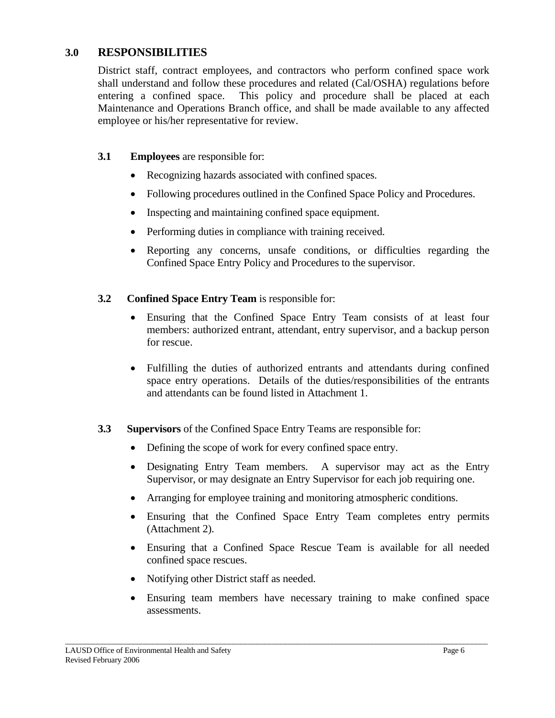# **3.0 RESPONSIBILITIES**

District staff, contract employees, and contractors who perform confined space work shall understand and follow these procedures and related (Cal/OSHA) regulations before entering a confined space. This policy and procedure shall be placed at each Maintenance and Operations Branch office, and shall be made available to any affected employee or his/her representative for review.

# **3.1 Employees** are responsible for:

- Recognizing hazards associated with confined spaces.
- Following procedures outlined in the Confined Space Policy and Procedures.
- Inspecting and maintaining confined space equipment.
- Performing duties in compliance with training received.
- Reporting any concerns, unsafe conditions, or difficulties regarding the Confined Space Entry Policy and Procedures to the supervisor.

# **3.2 Confined Space Entry Team** is responsible for:

- Ensuring that the Confined Space Entry Team consists of at least four members: authorized entrant, attendant, entry supervisor, and a backup person for rescue.
- Fulfilling the duties of authorized entrants and attendants during confined space entry operations. Details of the duties/responsibilities of the entrants and attendants can be found listed in Attachment 1.

# **3.3 Supervisors** of the Confined Space Entry Teams are responsible for:

- Defining the scope of work for every confined space entry.
- Designating Entry Team members. A supervisor may act as the Entry Supervisor, or may designate an Entry Supervisor for each job requiring one.
- Arranging for employee training and monitoring atmospheric conditions.
- Ensuring that the Confined Space Entry Team completes entry permits (Attachment 2).
- Ensuring that a Confined Space Rescue Team is available for all needed confined space rescues.
- Notifying other District staff as needed.
- Ensuring team members have necessary training to make confined space assessments.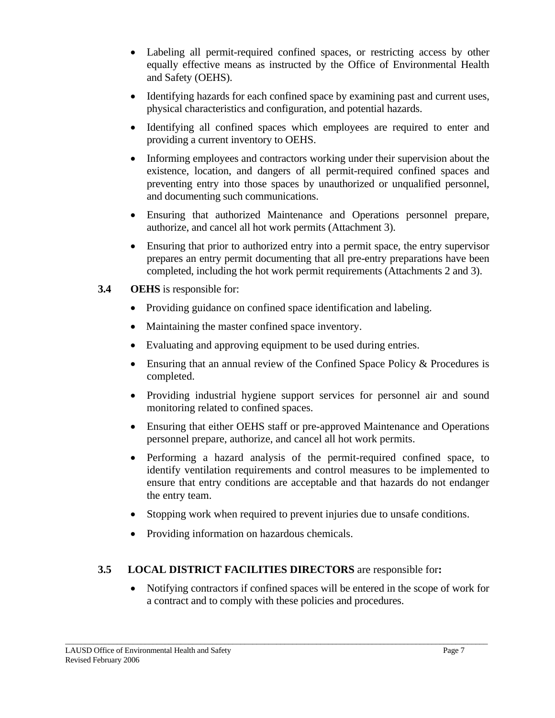- Labeling all permit-required confined spaces, or restricting access by other equally effective means as instructed by the Office of Environmental Health and Safety (OEHS).
- Identifying hazards for each confined space by examining past and current uses, physical characteristics and configuration, and potential hazards.
- Identifying all confined spaces which employees are required to enter and providing a current inventory to OEHS.
- Informing employees and contractors working under their supervision about the existence, location, and dangers of all permit-required confined spaces and preventing entry into those spaces by unauthorized or unqualified personnel, and documenting such communications.
- Ensuring that authorized Maintenance and Operations personnel prepare, authorize, and cancel all hot work permits (Attachment 3).
- Ensuring that prior to authorized entry into a permit space, the entry supervisor prepares an entry permit documenting that all pre-entry preparations have been completed, including the hot work permit requirements (Attachments 2 and 3).
- **3.4 OEHS** is responsible for:
	- Providing guidance on confined space identification and labeling.
	- Maintaining the master confined space inventory.
	- Evaluating and approving equipment to be used during entries.
	- Ensuring that an annual review of the Confined Space Policy & Procedures is completed.
	- Providing industrial hygiene support services for personnel air and sound monitoring related to confined spaces.
	- Ensuring that either OEHS staff or pre-approved Maintenance and Operations personnel prepare, authorize, and cancel all hot work permits.
	- Performing a hazard analysis of the permit-required confined space, to identify ventilation requirements and control measures to be implemented to ensure that entry conditions are acceptable and that hazards do not endanger the entry team.
	- Stopping work when required to prevent injuries due to unsafe conditions.
	- Providing information on hazardous chemicals.

# **3.5 LOCAL DISTRICT FACILITIES DIRECTORS** are responsible for**:**

\_\_\_\_\_\_\_\_\_\_\_\_\_\_\_\_\_\_\_\_\_\_\_\_\_\_\_\_\_\_\_\_\_\_\_\_\_\_\_\_\_\_\_\_\_\_\_\_\_\_\_\_\_\_\_\_\_\_\_\_\_\_\_\_\_\_\_\_\_\_\_\_\_\_\_\_\_\_\_\_\_\_\_\_\_\_\_\_\_\_\_\_\_\_\_\_\_\_\_\_\_\_\_\_\_\_

• Notifying contractors if confined spaces will be entered in the scope of work for a contract and to comply with these policies and procedures.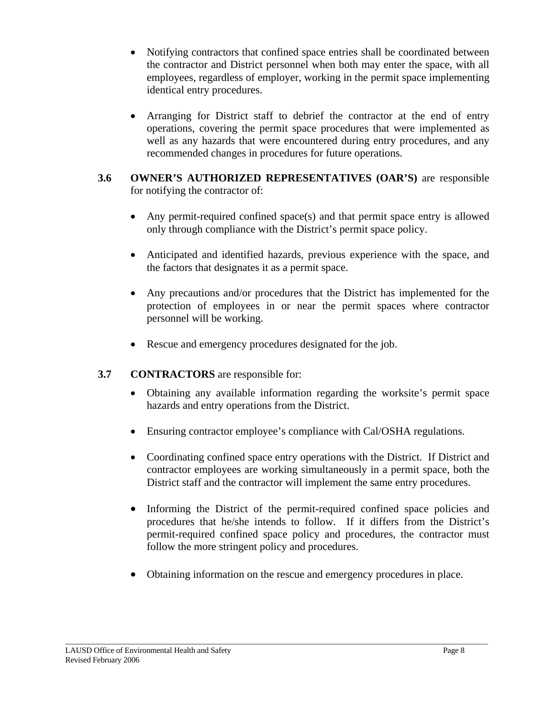- Notifying contractors that confined space entries shall be coordinated between the contractor and District personnel when both may enter the space, with all employees, regardless of employer, working in the permit space implementing identical entry procedures.
- Arranging for District staff to debrief the contractor at the end of entry operations, covering the permit space procedures that were implemented as well as any hazards that were encountered during entry procedures, and any recommended changes in procedures for future operations.

# **3.6 OWNER'S AUTHORIZED REPRESENTATIVES (OAR'S)** are responsible for notifying the contractor of:

- Any permit-required confined space(s) and that permit space entry is allowed only through compliance with the District's permit space policy.
- Anticipated and identified hazards, previous experience with the space, and the factors that designates it as a permit space.
- Any precautions and/or procedures that the District has implemented for the protection of employees in or near the permit spaces where contractor personnel will be working.
- Rescue and emergency procedures designated for the job.

# **3.7 CONTRACTORS** are responsible for:

- Obtaining any available information regarding the worksite's permit space hazards and entry operations from the District.
- Ensuring contractor employee's compliance with Cal/OSHA regulations.
- Coordinating confined space entry operations with the District. If District and contractor employees are working simultaneously in a permit space, both the District staff and the contractor will implement the same entry procedures.
- Informing the District of the permit-required confined space policies and procedures that he/she intends to follow. If it differs from the District's permit-required confined space policy and procedures, the contractor must follow the more stringent policy and procedures.
- Obtaining information on the rescue and emergency procedures in place.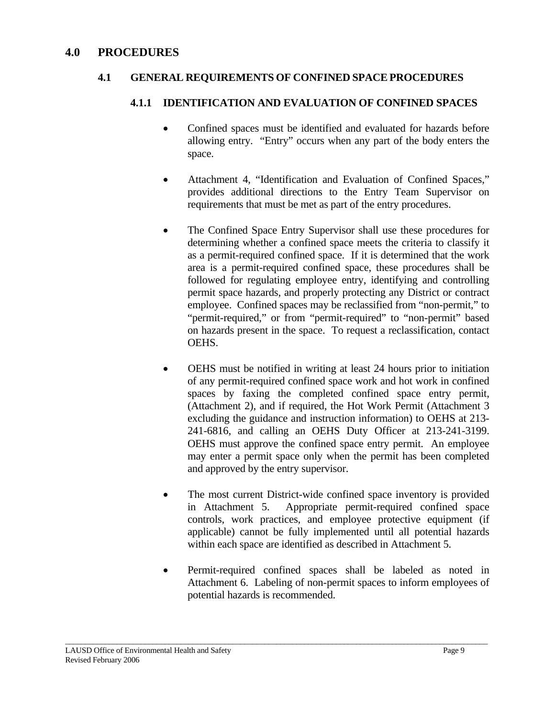# **4.0 PROCEDURES**

# **4.1 GENERAL REQUIREMENTS OF CONFINED SPACE PROCEDURES**

# **4.1.1 IDENTIFICATION AND EVALUATION OF CONFINED SPACES**

- Confined spaces must be identified and evaluated for hazards before allowing entry. "Entry" occurs when any part of the body enters the space.
- Attachment 4, "Identification and Evaluation of Confined Spaces," provides additional directions to the Entry Team Supervisor on requirements that must be met as part of the entry procedures.
- The Confined Space Entry Supervisor shall use these procedures for determining whether a confined space meets the criteria to classify it as a permit-required confined space. If it is determined that the work area is a permit-required confined space, these procedures shall be followed for regulating employee entry, identifying and controlling permit space hazards, and properly protecting any District or contract employee. Confined spaces may be reclassified from "non-permit," to "permit-required," or from "permit-required" to "non-permit" based on hazards present in the space. To request a reclassification, contact OEHS.
- OEHS must be notified in writing at least 24 hours prior to initiation of any permit-required confined space work and hot work in confined spaces by faxing the completed confined space entry permit, (Attachment 2), and if required, the Hot Work Permit (Attachment 3 excluding the guidance and instruction information) to OEHS at 213- 241-6816, and calling an OEHS Duty Officer at 213-241-3199. OEHS must approve the confined space entry permit. An employee may enter a permit space only when the permit has been completed and approved by the entry supervisor.
- The most current District-wide confined space inventory is provided in Attachment 5. Appropriate permit-required confined space controls, work practices, and employee protective equipment (if applicable) cannot be fully implemented until all potential hazards within each space are identified as described in Attachment 5.
- Permit-required confined spaces shall be labeled as noted in Attachment 6. Labeling of non-permit spaces to inform employees of potential hazards is recommended.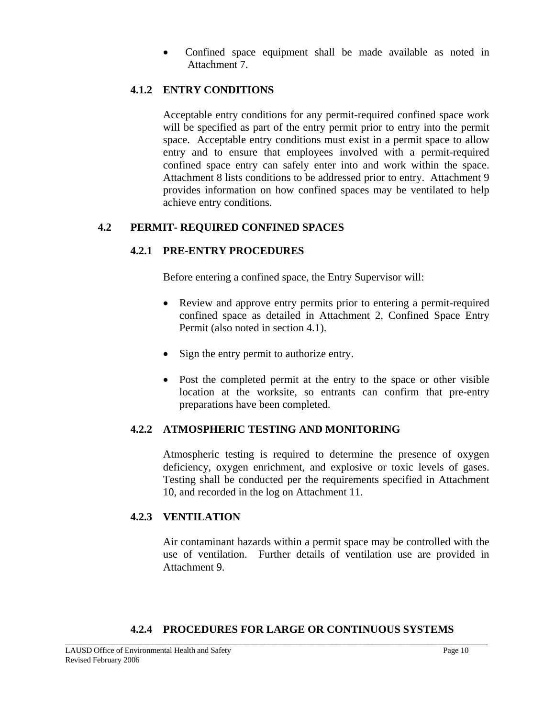• Confined space equipment shall be made available as noted in Attachment 7.

# **4.1.2 ENTRY CONDITIONS**

Acceptable entry conditions for any permit-required confined space work will be specified as part of the entry permit prior to entry into the permit space. Acceptable entry conditions must exist in a permit space to allow entry and to ensure that employees involved with a permit-required confined space entry can safely enter into and work within the space. Attachment 8 lists conditions to be addressed prior to entry. Attachment 9 provides information on how confined spaces may be ventilated to help achieve entry conditions.

# **4.2 PERMIT- REQUIRED CONFINED SPACES**

# **4.2.1 PRE-ENTRY PROCEDURES**

Before entering a confined space, the Entry Supervisor will:

- Review and approve entry permits prior to entering a permit-required confined space as detailed in Attachment 2, Confined Space Entry Permit (also noted in section 4.1).
- Sign the entry permit to authorize entry.
- Post the completed permit at the entry to the space or other visible location at the worksite, so entrants can confirm that pre-entry preparations have been completed.

# **4.2.2 ATMOSPHERIC TESTING AND MONITORING**

 Atmospheric testing is required to determine the presence of oxygen deficiency, oxygen enrichment, and explosive or toxic levels of gases. Testing shall be conducted per the requirements specified in Attachment 10, and recorded in the log on Attachment 11.

# **4.2.3 VENTILATION**

Air contaminant hazards within a permit space may be controlled with the use of ventilation. Further details of ventilation use are provided in Attachment 9.

# **4.2.4 PROCEDURES FOR LARGE OR CONTINUOUS SYSTEMS**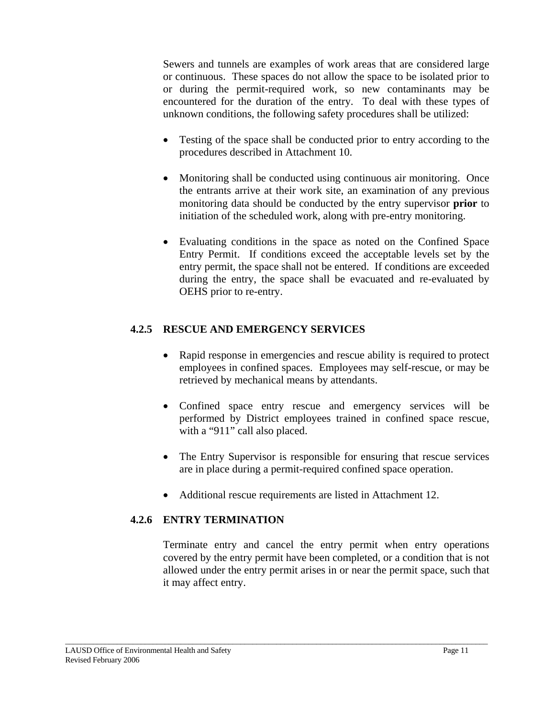Sewers and tunnels are examples of work areas that are considered large or continuous. These spaces do not allow the space to be isolated prior to or during the permit-required work, so new contaminants may be encountered for the duration of the entry. To deal with these types of unknown conditions, the following safety procedures shall be utilized:

- Testing of the space shall be conducted prior to entry according to the procedures described in Attachment 10.
- Monitoring shall be conducted using continuous air monitoring. Once the entrants arrive at their work site, an examination of any previous monitoring data should be conducted by the entry supervisor **prior** to initiation of the scheduled work, along with pre-entry monitoring.
- Evaluating conditions in the space as noted on the Confined Space Entry Permit. If conditions exceed the acceptable levels set by the entry permit, the space shall not be entered. If conditions are exceeded during the entry, the space shall be evacuated and re-evaluated by OEHS prior to re-entry.

# **4.2.5 RESCUE AND EMERGENCY SERVICES**

- Rapid response in emergencies and rescue ability is required to protect employees in confined spaces. Employees may self-rescue, or may be retrieved by mechanical means by attendants.
- Confined space entry rescue and emergency services will be performed by District employees trained in confined space rescue, with a "911" call also placed.
- The Entry Supervisor is responsible for ensuring that rescue services are in place during a permit-required confined space operation.
- Additional rescue requirements are listed in Attachment 12.

\_\_\_\_\_\_\_\_\_\_\_\_\_\_\_\_\_\_\_\_\_\_\_\_\_\_\_\_\_\_\_\_\_\_\_\_\_\_\_\_\_\_\_\_\_\_\_\_\_\_\_\_\_\_\_\_\_\_\_\_\_\_\_\_\_\_\_\_\_\_\_\_\_\_\_\_\_\_\_\_\_\_\_\_\_\_\_\_\_\_\_\_\_\_\_\_\_\_\_\_\_\_\_\_\_\_

# **4.2.6 ENTRY TERMINATION**

Terminate entry and cancel the entry permit when entry operations covered by the entry permit have been completed, or a condition that is not allowed under the entry permit arises in or near the permit space, such that it may affect entry.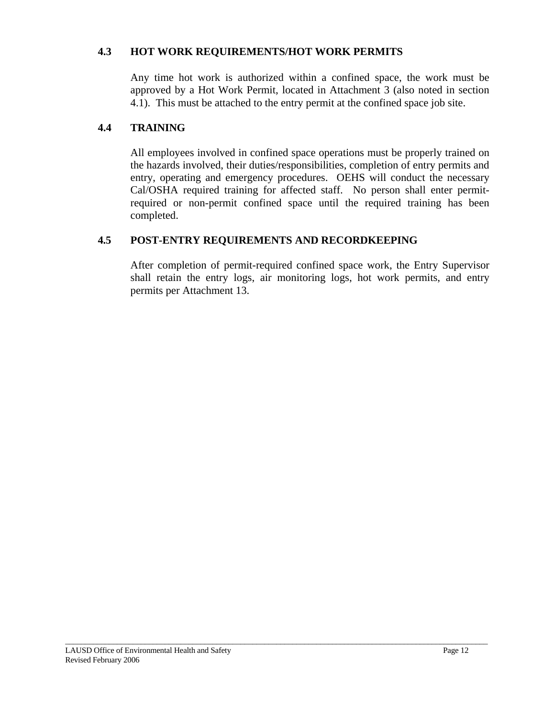# **4.3 HOT WORK REQUIREMENTS/HOT WORK PERMITS**

Any time hot work is authorized within a confined space, the work must be approved by a Hot Work Permit, located in Attachment 3 (also noted in section 4.1). This must be attached to the entry permit at the confined space job site.

# **4.4 TRAINING**

All employees involved in confined space operations must be properly trained on the hazards involved, their duties/responsibilities, completion of entry permits and entry, operating and emergency procedures. OEHS will conduct the necessary Cal/OSHA required training for affected staff. No person shall enter permitrequired or non-permit confined space until the required training has been completed.

# **4.5 POST-ENTRY REQUIREMENTS AND RECORDKEEPING**

\_\_\_\_\_\_\_\_\_\_\_\_\_\_\_\_\_\_\_\_\_\_\_\_\_\_\_\_\_\_\_\_\_\_\_\_\_\_\_\_\_\_\_\_\_\_\_\_\_\_\_\_\_\_\_\_\_\_\_\_\_\_\_\_\_\_\_\_\_\_\_\_\_\_\_\_\_\_\_\_\_\_\_\_\_\_\_\_\_\_\_\_\_\_\_\_\_\_\_\_\_\_\_\_\_\_

 After completion of permit-required confined space work, the Entry Supervisor shall retain the entry logs, air monitoring logs, hot work permits, and entry permits per Attachment 13.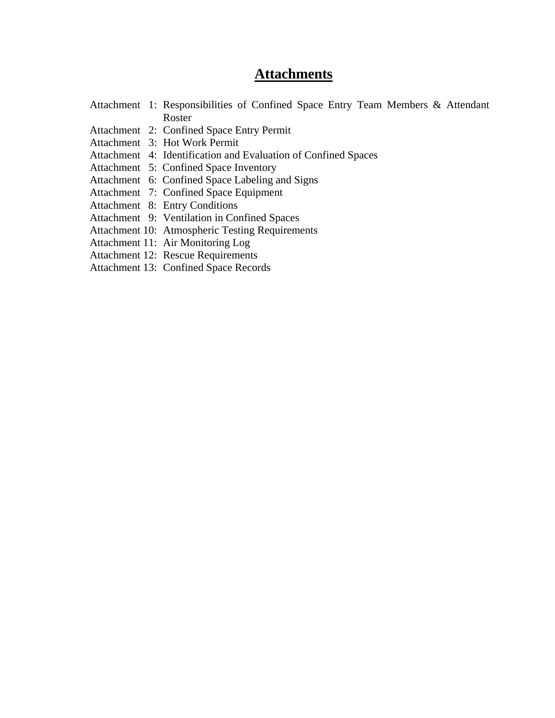# **Attachments**

|  | Attachment 1: Responsibilities of Confined Space Entry Team Members & Attendant |
|--|---------------------------------------------------------------------------------|
|  | Roster                                                                          |
|  | Attachment 2: Confined Space Entry Permit                                       |
|  | Attachment 3: Hot Work Permit                                                   |
|  | Attachment 4: Identification and Evaluation of Confined Spaces                  |
|  | Attachment 5: Confined Space Inventory                                          |
|  | Attachment 6: Confined Space Labeling and Signs                                 |
|  | Attachment 7: Confined Space Equipment                                          |
|  | Attachment 8: Entry Conditions                                                  |
|  | Attachment 9: Ventilation in Confined Spaces                                    |
|  | Attachment 10: Atmospheric Testing Requirements                                 |
|  | Attachment 11: Air Monitoring Log                                               |
|  | <b>Attachment 12: Rescue Requirements</b>                                       |
|  | <b>Attachment 13: Confined Space Records</b>                                    |
|  |                                                                                 |
|  |                                                                                 |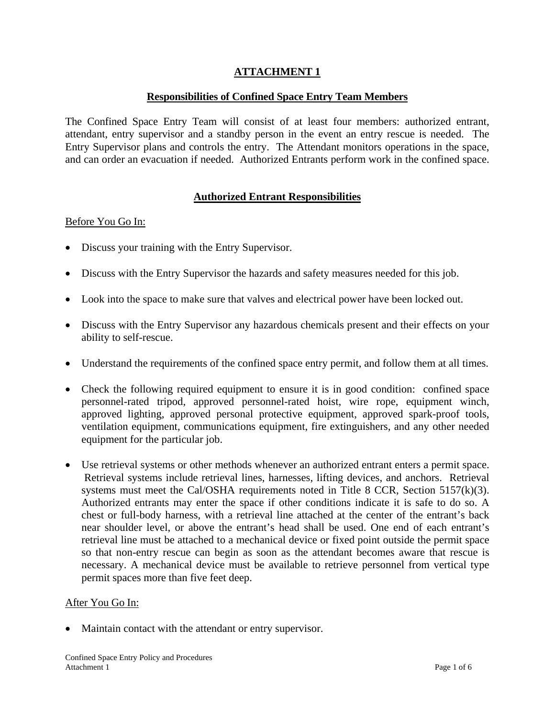### **Responsibilities of Confined Space Entry Team Members**

The Confined Space Entry Team will consist of at least four members: authorized entrant, attendant, entry supervisor and a standby person in the event an entry rescue is needed. The Entry Supervisor plans and controls the entry. The Attendant monitors operations in the space, and can order an evacuation if needed. Authorized Entrants perform work in the confined space.

### **Authorized Entrant Responsibilities**

#### Before You Go In:

- Discuss your training with the Entry Supervisor.
- Discuss with the Entry Supervisor the hazards and safety measures needed for this job.
- Look into the space to make sure that valves and electrical power have been locked out.
- Discuss with the Entry Supervisor any hazardous chemicals present and their effects on your ability to self-rescue.
- Understand the requirements of the confined space entry permit, and follow them at all times.
- Check the following required equipment to ensure it is in good condition: confined space personnel-rated tripod, approved personnel-rated hoist, wire rope, equipment winch, approved lighting, approved personal protective equipment, approved spark-proof tools, ventilation equipment, communications equipment, fire extinguishers, and any other needed equipment for the particular job.
- Use retrieval systems or other methods whenever an authorized entrant enters a permit space. Retrieval systems include retrieval lines, harnesses, lifting devices, and anchors. Retrieval systems must meet the Cal/OSHA requirements noted in Title 8 CCR, Section 5157(k)(3). Authorized entrants may enter the space if other conditions indicate it is safe to do so. A chest or full-body harness, with a retrieval line attached at the center of the entrant's back near shoulder level, or above the entrant's head shall be used. One end of each entrant's retrieval line must be attached to a mechanical device or fixed point outside the permit space so that non-entry rescue can begin as soon as the attendant becomes aware that rescue is necessary. A mechanical device must be available to retrieve personnel from vertical type permit spaces more than five feet deep.

#### After You Go In:

Maintain contact with the attendant or entry supervisor.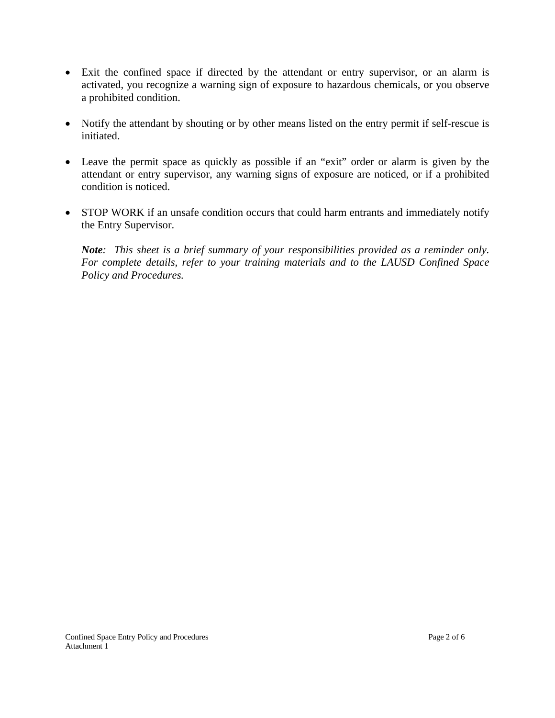- Exit the confined space if directed by the attendant or entry supervisor, or an alarm is activated, you recognize a warning sign of exposure to hazardous chemicals, or you observe a prohibited condition.
- Notify the attendant by shouting or by other means listed on the entry permit if self-rescue is initiated.
- Leave the permit space as quickly as possible if an "exit" order or alarm is given by the attendant or entry supervisor, any warning signs of exposure are noticed, or if a prohibited condition is noticed.
- STOP WORK if an unsafe condition occurs that could harm entrants and immediately notify the Entry Supervisor.

*Note: This sheet is a brief summary of your responsibilities provided as a reminder only. For complete details, refer to your training materials and to the LAUSD Confined Space Policy and Procedures.*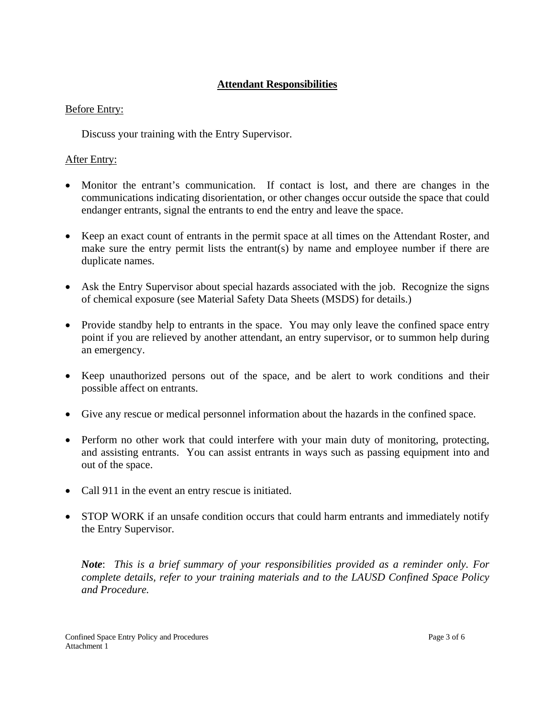# **Attendant Responsibilities**

### Before Entry:

Discuss your training with the Entry Supervisor.

# After Entry:

- Monitor the entrant's communication. If contact is lost, and there are changes in the communications indicating disorientation, or other changes occur outside the space that could endanger entrants, signal the entrants to end the entry and leave the space.
- Keep an exact count of entrants in the permit space at all times on the Attendant Roster, and make sure the entry permit lists the entrant(s) by name and employee number if there are duplicate names.
- Ask the Entry Supervisor about special hazards associated with the job. Recognize the signs of chemical exposure (see Material Safety Data Sheets (MSDS) for details.)
- Provide standby help to entrants in the space. You may only leave the confined space entry point if you are relieved by another attendant, an entry supervisor, or to summon help during an emergency.
- Keep unauthorized persons out of the space, and be alert to work conditions and their possible affect on entrants.
- Give any rescue or medical personnel information about the hazards in the confined space.
- Perform no other work that could interfere with your main duty of monitoring, protecting, and assisting entrants. You can assist entrants in ways such as passing equipment into and out of the space.
- Call 911 in the event an entry rescue is initiated.
- STOP WORK if an unsafe condition occurs that could harm entrants and immediately notify the Entry Supervisor.

 *Note*: *This is a brief summary of your responsibilities provided as a reminder only. For complete details, refer to your training materials and to the LAUSD Confined Space Policy and Procedure.*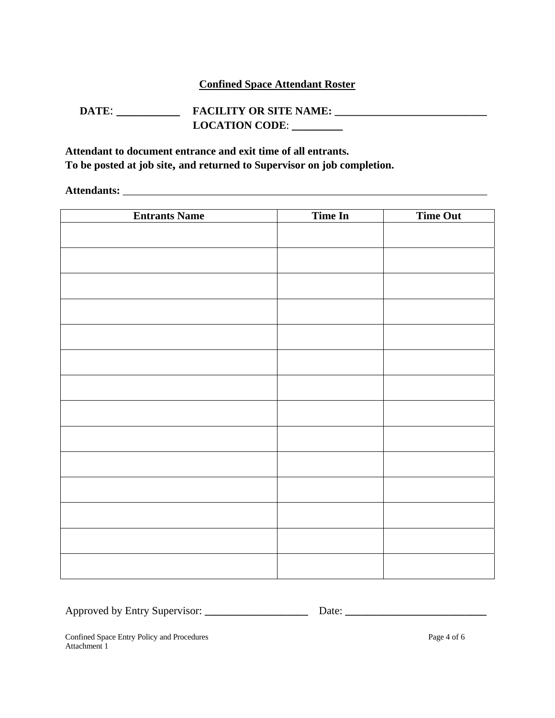### **Confined Space Attendant Roster**

# **DATE: \_\_\_\_\_\_\_\_\_\_\_\_\_\_ FACILITY OR SITE NAME: \_\_\_\_\_\_\_\_\_\_\_\_\_\_\_\_\_\_\_\_\_\_\_\_\_\_\_\_\_\_\_\_\_\_\_ LOCATION CODE**: **\_\_\_\_\_\_\_\_**

**Attendant to document entrance and exit time of all entrants. To be posted at job site, and returned to Supervisor on job completion.** 

**Attendants:** \_\_\_\_\_\_\_\_\_\_\_\_\_\_\_\_\_\_\_\_\_\_\_\_\_\_\_\_\_\_\_\_\_\_\_\_\_\_\_\_\_\_\_\_\_\_\_\_\_\_\_\_\_\_\_\_\_\_\_\_\_\_\_\_\_\_\_

| <b>Entrants Name</b> | <b>Time In</b> | Time Out |
|----------------------|----------------|----------|
|                      |                |          |
|                      |                |          |
|                      |                |          |
|                      |                |          |
|                      |                |          |
|                      |                |          |
|                      |                |          |
|                      |                |          |
|                      |                |          |
|                      |                |          |
|                      |                |          |
|                      |                |          |
|                      |                |          |
|                      |                |          |
|                      |                |          |
|                      |                |          |
|                      |                |          |
|                      |                |          |
|                      |                |          |
|                      |                |          |
|                      |                |          |
|                      |                |          |
|                      |                |          |
|                      |                |          |

Approved by Entry Supervisor: **\_\_\_\_\_\_\_\_\_\_\_\_\_\_\_\_\_\_\_** Date: **\_\_\_\_\_\_\_\_\_\_\_\_\_\_\_\_\_\_\_\_\_\_\_\_\_\_**

Confined Space Entry Policy and Procedures Page 4 of 6 Attachment 1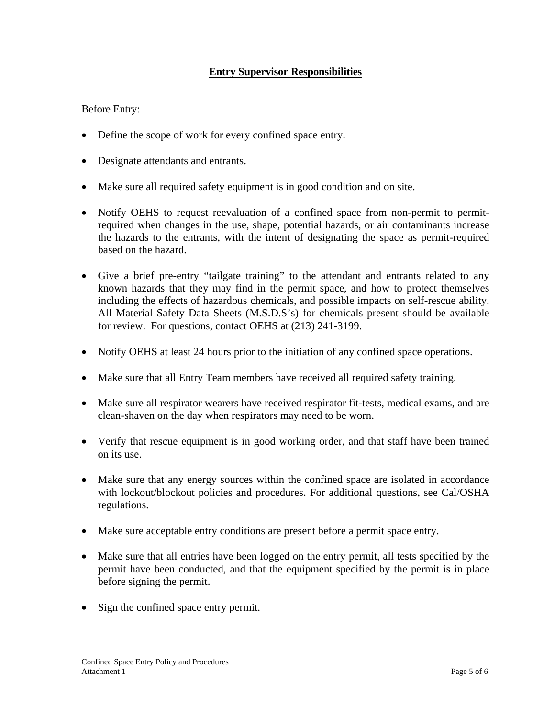# **Entry Supervisor Responsibilities**

### Before Entry:

- Define the scope of work for every confined space entry.
- Designate attendants and entrants.
- Make sure all required safety equipment is in good condition and on site.
- Notify OEHS to request reevaluation of a confined space from non-permit to permitrequired when changes in the use, shape, potential hazards, or air contaminants increase the hazards to the entrants, with the intent of designating the space as permit-required based on the hazard.
- Give a brief pre-entry "tailgate training" to the attendant and entrants related to any known hazards that they may find in the permit space, and how to protect themselves including the effects of hazardous chemicals, and possible impacts on self-rescue ability. All Material Safety Data Sheets (M.S.D.S's) for chemicals present should be available for review. For questions, contact OEHS at (213) 241-3199.
- Notify OEHS at least 24 hours prior to the initiation of any confined space operations.
- Make sure that all Entry Team members have received all required safety training.
- Make sure all respirator wearers have received respirator fit-tests, medical exams, and are clean-shaven on the day when respirators may need to be worn.
- Verify that rescue equipment is in good working order, and that staff have been trained on its use.
- Make sure that any energy sources within the confined space are isolated in accordance with lockout/blockout policies and procedures. For additional questions, see Cal/OSHA regulations.
- Make sure acceptable entry conditions are present before a permit space entry.
- Make sure that all entries have been logged on the entry permit, all tests specified by the permit have been conducted, and that the equipment specified by the permit is in place before signing the permit.
- Sign the confined space entry permit.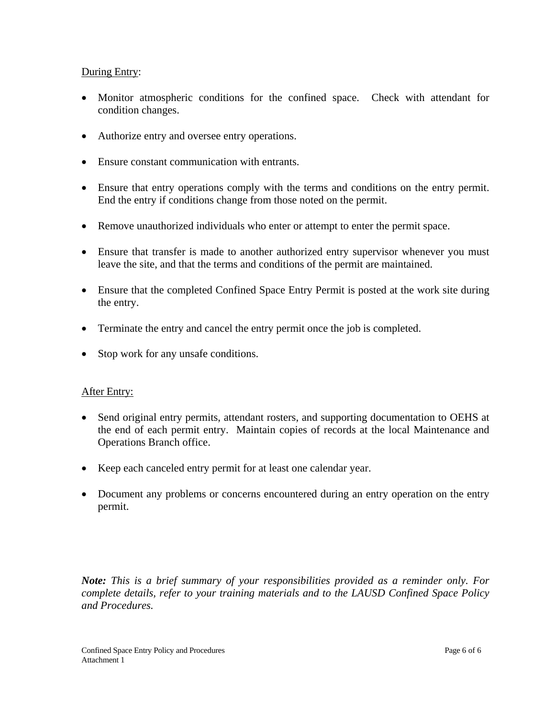### During Entry:

- Monitor atmospheric conditions for the confined space. Check with attendant for condition changes.
- Authorize entry and oversee entry operations.
- Ensure constant communication with entrants.
- Ensure that entry operations comply with the terms and conditions on the entry permit. End the entry if conditions change from those noted on the permit.
- Remove unauthorized individuals who enter or attempt to enter the permit space.
- Ensure that transfer is made to another authorized entry supervisor whenever you must leave the site, and that the terms and conditions of the permit are maintained.
- Ensure that the completed Confined Space Entry Permit is posted at the work site during the entry.
- Terminate the entry and cancel the entry permit once the job is completed.
- Stop work for any unsafe conditions.

### **After Entry:**

- Send original entry permits, attendant rosters, and supporting documentation to OEHS at the end of each permit entry. Maintain copies of records at the local Maintenance and Operations Branch office.
- Keep each canceled entry permit for at least one calendar year.
- Document any problems or concerns encountered during an entry operation on the entry permit.

*Note: This is a brief summary of your responsibilities provided as a reminder only. For complete details, refer to your training materials and to the LAUSD Confined Space Policy and Procedures.*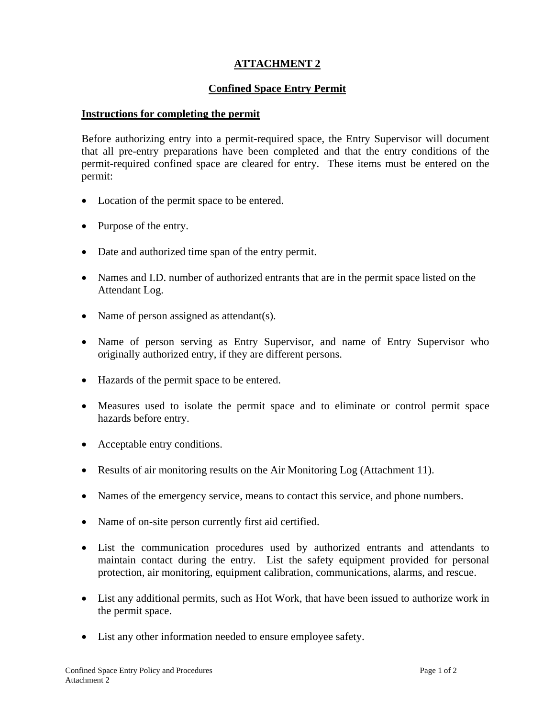# **Confined Space Entry Permit**

### **Instructions for completing the permit**

Before authorizing entry into a permit-required space, the Entry Supervisor will document that all pre-entry preparations have been completed and that the entry conditions of the permit-required confined space are cleared for entry. These items must be entered on the permit:

- Location of the permit space to be entered.
- Purpose of the entry.
- Date and authorized time span of the entry permit.
- Names and I.D. number of authorized entrants that are in the permit space listed on the Attendant Log.
- Name of person assigned as attendant(s).
- Name of person serving as Entry Supervisor, and name of Entry Supervisor who originally authorized entry, if they are different persons.
- Hazards of the permit space to be entered.
- Measures used to isolate the permit space and to eliminate or control permit space hazards before entry.
- Acceptable entry conditions.
- Results of air monitoring results on the Air Monitoring Log (Attachment 11).
- Names of the emergency service, means to contact this service, and phone numbers.
- Name of on-site person currently first aid certified.
- List the communication procedures used by authorized entrants and attendants to maintain contact during the entry. List the safety equipment provided for personal protection, air monitoring, equipment calibration, communications, alarms, and rescue.
- List any additional permits, such as Hot Work, that have been issued to authorize work in the permit space.
- List any other information needed to ensure employee safety.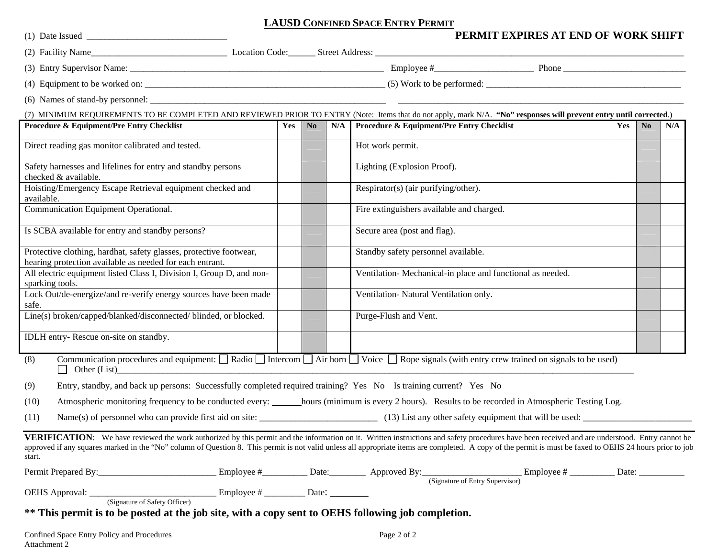#### **LAUSD CONFINED SPACE ENTRY PERMIT**

|                                                                                                                                |     |                |     | PERMIT EXPIRES AT END OF WORK SHIFT                                                                                                                                                                                                                                                                                                                                                                         |     |                        |     |
|--------------------------------------------------------------------------------------------------------------------------------|-----|----------------|-----|-------------------------------------------------------------------------------------------------------------------------------------------------------------------------------------------------------------------------------------------------------------------------------------------------------------------------------------------------------------------------------------------------------------|-----|------------------------|-----|
|                                                                                                                                |     |                |     |                                                                                                                                                                                                                                                                                                                                                                                                             |     |                        |     |
|                                                                                                                                |     |                |     |                                                                                                                                                                                                                                                                                                                                                                                                             |     |                        |     |
|                                                                                                                                |     |                |     |                                                                                                                                                                                                                                                                                                                                                                                                             |     |                        |     |
|                                                                                                                                |     |                |     |                                                                                                                                                                                                                                                                                                                                                                                                             |     |                        |     |
|                                                                                                                                |     |                |     | (7) MINIMUM REQUIREMENTS TO BE COMPLETED AND REVIEWED PRIOR TO ENTRY (Note: Items that do not apply, mark N/A. "No" responses will prevent entry until corrected.)                                                                                                                                                                                                                                          |     |                        |     |
| Procedure & Equipment/Pre Entry Checklist                                                                                      | Yes | N <sub>o</sub> | N/A | <b>Procedure &amp; Equipment/Pre Entry Checklist</b>                                                                                                                                                                                                                                                                                                                                                        | Yes | $\mathbf{N}\mathbf{0}$ | N/A |
| Direct reading gas monitor calibrated and tested.                                                                              |     |                |     | Hot work permit.                                                                                                                                                                                                                                                                                                                                                                                            |     |                        |     |
| Safety harnesses and lifelines for entry and standby persons<br>checked & available.                                           |     |                |     | Lighting (Explosion Proof).                                                                                                                                                                                                                                                                                                                                                                                 |     |                        |     |
| Hoisting/Emergency Escape Retrieval equipment checked and<br>available.                                                        |     |                |     | Respirator(s) (air purifying/other).                                                                                                                                                                                                                                                                                                                                                                        |     |                        |     |
| Communication Equipment Operational.                                                                                           |     |                |     | Fire extinguishers available and charged.                                                                                                                                                                                                                                                                                                                                                                   |     |                        |     |
| Is SCBA available for entry and standby persons?                                                                               |     |                |     | Secure area (post and flag).                                                                                                                                                                                                                                                                                                                                                                                |     |                        |     |
| Protective clothing, hardhat, safety glasses, protective footwear,<br>hearing protection available as needed for each entrant. |     |                |     | Standby safety personnel available.                                                                                                                                                                                                                                                                                                                                                                         |     |                        |     |
| All electric equipment listed Class I, Division I, Group D, and non-<br>sparking tools.                                        |     |                |     | Ventilation-Mechanical-in place and functional as needed.                                                                                                                                                                                                                                                                                                                                                   |     |                        |     |
| Lock Out/de-energize/and re-verify energy sources have been made<br>safe.                                                      |     |                |     | Ventilation- Natural Ventilation only.                                                                                                                                                                                                                                                                                                                                                                      |     |                        |     |
| Line(s) broken/capped/blanked/disconnected/ blinded, or blocked.                                                               |     |                |     | Purge-Flush and Vent.                                                                                                                                                                                                                                                                                                                                                                                       |     |                        |     |
| IDLH entry-Rescue on-site on standby.                                                                                          |     |                |     |                                                                                                                                                                                                                                                                                                                                                                                                             |     |                        |     |
| (8)<br>Other (List)                                                                                                            |     |                |     | Communication procedures and equipment: $\Box$ Radio $\Box$ Intercom $\Box$ Air horn $\Box$ Voice $\Box$ Rope signals (with entry crew trained on signals to be used)                                                                                                                                                                                                                                       |     |                        |     |
| Entry, standby, and back up persons: Successfully completed required training? Yes No Is training current? Yes No<br>(9)       |     |                |     |                                                                                                                                                                                                                                                                                                                                                                                                             |     |                        |     |
| (10)                                                                                                                           |     |                |     | Atmospheric monitoring frequency to be conducted every: hours (minimum is every 2 hours). Results to be recorded in Atmospheric Testing Log.                                                                                                                                                                                                                                                                |     |                        |     |
| (11)                                                                                                                           |     |                |     |                                                                                                                                                                                                                                                                                                                                                                                                             |     |                        |     |
| start.                                                                                                                         |     |                |     | VERIFICATION: We have reviewed the work authorized by this permit and the information on it. Written instructions and safety procedures have been received and are understood. Entry cannot be<br>approved if any squares marked in the "No" column of Question 8. This permit is not valid unless all appropriate items are completed. A copy of the permit is must be faxed to OEHS 24 hours prior to job |     |                        |     |
|                                                                                                                                |     |                |     |                                                                                                                                                                                                                                                                                                                                                                                                             |     |                        |     |
|                                                                                                                                |     |                |     |                                                                                                                                                                                                                                                                                                                                                                                                             |     |                        |     |
| ** This permit is to be posted at the job site, with a copy sent to OEHS following job completion.                             |     |                |     |                                                                                                                                                                                                                                                                                                                                                                                                             |     |                        |     |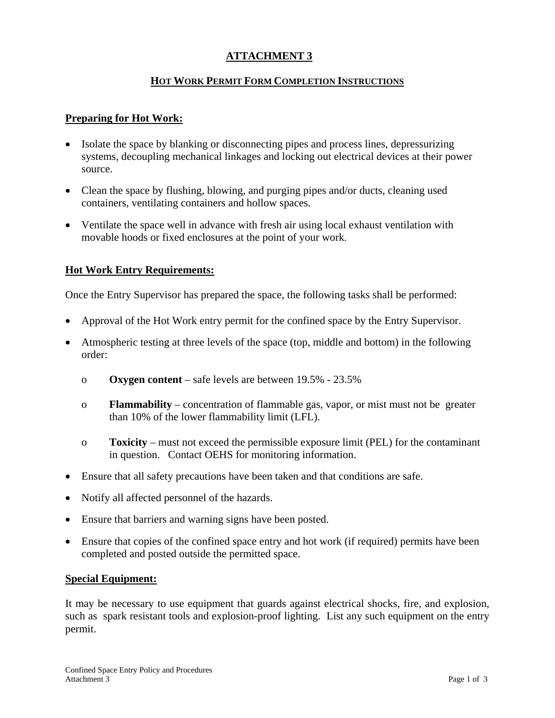### **HOT WORK PERMIT FORM COMPLETION INSTRUCTIONS**

### **Preparing for Hot Work:**

- Isolate the space by blanking or disconnecting pipes and process lines, depressurizing systems, decoupling mechanical linkages and locking out electrical devices at their power source.
- Clean the space by flushing, blowing, and purging pipes and/or ducts, cleaning used containers, ventilating containers and hollow spaces.
- Ventilate the space well in advance with fresh air using local exhaust ventilation with movable hoods or fixed enclosures at the point of your work.

### **Hot Work Entry Requirements:**

Once the Entry Supervisor has prepared the space, the following tasks shall be performed:

- Approval of the Hot Work entry permit for the confined space by the Entry Supervisor.
- Atmospheric testing at three levels of the space (top, middle and bottom) in the following order:
	- o **Oxygen content** safe levels are between 19.5% 23.5%
	- o **Flammability**  concentration of flammable gas, vapor, or mist must not be greater than 10% of the lower flammability limit (LFL).
	- o **Toxicity**  must not exceed the permissible exposure limit (PEL) for the contaminant in question. Contact OEHS for monitoring information.
- Ensure that all safety precautions have been taken and that conditions are safe.
- Notify all affected personnel of the hazards.
- Ensure that barriers and warning signs have been posted.
- Ensure that copies of the confined space entry and hot work (if required) permits have been completed and posted outside the permitted space.

#### **Special Equipment:**

It may be necessary to use equipment that guards against electrical shocks, fire, and explosion, such as spark resistant tools and explosion-proof lighting. List any such equipment on the entry permit.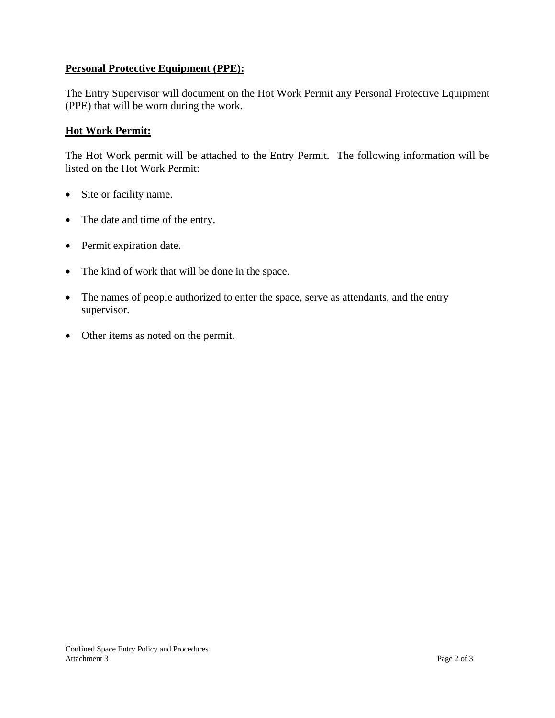### **Personal Protective Equipment (PPE):**

The Entry Supervisor will document on the Hot Work Permit any Personal Protective Equipment (PPE) that will be worn during the work.

### **Hot Work Permit:**

The Hot Work permit will be attached to the Entry Permit. The following information will be listed on the Hot Work Permit:

- Site or facility name.
- The date and time of the entry.
- Permit expiration date.
- The kind of work that will be done in the space.
- The names of people authorized to enter the space, serve as attendants, and the entry supervisor.
- Other items as noted on the permit.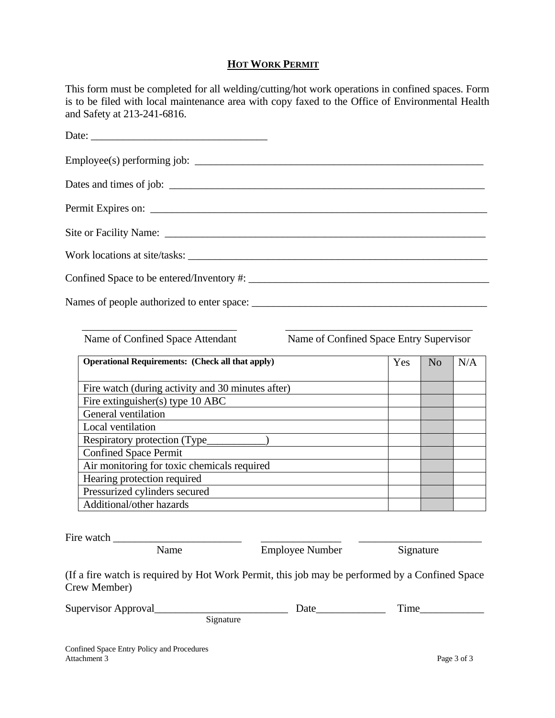### **HOT WORK PERMIT**

This form must be completed for all welding/cutting/hot work operations in confined spaces. Form is to be filed with local maintenance area with copy faxed to the Office of Environmental Health and Safety at 213-241-6816.

| Date: |
|-------|
|       |
|       |
|       |
|       |
|       |
|       |
|       |

Name of Confined Space Attendant Name of Confined Space Entry Supervisor

| <b>Operational Requirements:</b> (Check all that apply) | Yes | N <sub>o</sub> | N/A |
|---------------------------------------------------------|-----|----------------|-----|
|                                                         |     |                |     |
| Fire watch (during activity and 30 minutes after)       |     |                |     |
| Fire extinguisher(s) type $10$ ABC                      |     |                |     |
| General ventilation                                     |     |                |     |
| Local ventilation                                       |     |                |     |
| Respiratory protection (Type_                           |     |                |     |
| <b>Confined Space Permit</b>                            |     |                |     |
| Air monitoring for toxic chemicals required             |     |                |     |
| Hearing protection required                             |     |                |     |
| Pressurized cylinders secured                           |     |                |     |
| Additional/other hazards                                |     |                |     |

\_\_\_\_\_\_\_\_\_\_\_\_\_\_\_\_\_\_\_\_\_\_\_\_\_\_\_\_\_ \_\_\_\_\_\_\_\_\_\_\_\_\_\_\_\_\_\_\_\_\_\_\_\_\_\_\_\_\_\_\_\_\_\_\_

Fire watch

Name Employee Number Signature

(If a fire watch is required by Hot Work Permit, this job may be performed by a Confined Space Crew Member)

| Supervisor Approval |           | Jate | `1ME |  |
|---------------------|-----------|------|------|--|
|                     | 51gnature |      |      |  |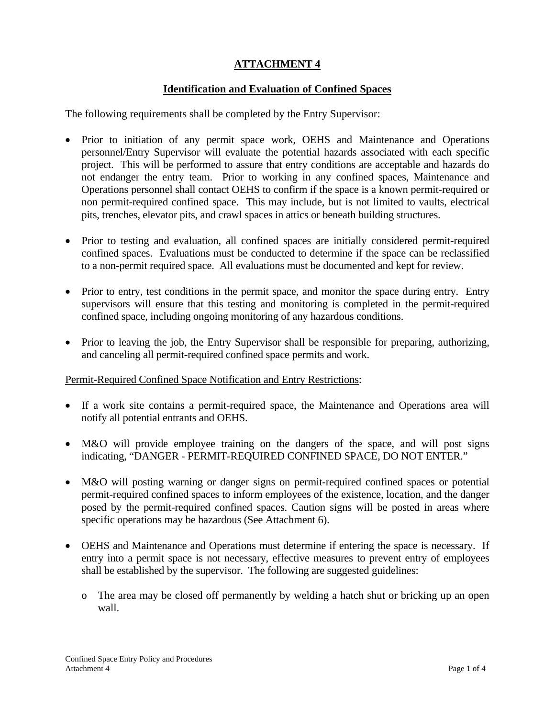# **Identification and Evaluation of Confined Spaces**

The following requirements shall be completed by the Entry Supervisor:

- Prior to initiation of any permit space work, OEHS and Maintenance and Operations personnel/Entry Supervisor will evaluate the potential hazards associated with each specific project. This will be performed to assure that entry conditions are acceptable and hazards do not endanger the entry team. Prior to working in any confined spaces, Maintenance and Operations personnel shall contact OEHS to confirm if the space is a known permit-required or non permit-required confined space. This may include, but is not limited to vaults, electrical pits, trenches, elevator pits, and crawl spaces in attics or beneath building structures.
- Prior to testing and evaluation, all confined spaces are initially considered permit-required confined spaces. Evaluations must be conducted to determine if the space can be reclassified to a non-permit required space. All evaluations must be documented and kept for review.
- Prior to entry, test conditions in the permit space, and monitor the space during entry. Entry supervisors will ensure that this testing and monitoring is completed in the permit-required confined space, including ongoing monitoring of any hazardous conditions.
- Prior to leaving the job, the Entry Supervisor shall be responsible for preparing, authorizing, and canceling all permit-required confined space permits and work.

### Permit-Required Confined Space Notification and Entry Restrictions:

- If a work site contains a permit-required space, the Maintenance and Operations area will notify all potential entrants and OEHS.
- M&O will provide employee training on the dangers of the space, and will post signs indicating, "DANGER - PERMIT-REQUIRED CONFINED SPACE, DO NOT ENTER."
- M&O will posting warning or danger signs on permit-required confined spaces or potential permit-required confined spaces to inform employees of the existence, location, and the danger posed by the permit-required confined spaces. Caution signs will be posted in areas where specific operations may be hazardous (See Attachment 6).
- OEHS and Maintenance and Operations must determine if entering the space is necessary. If entry into a permit space is not necessary, effective measures to prevent entry of employees shall be established by the supervisor. The following are suggested guidelines:
	- o The area may be closed off permanently by welding a hatch shut or bricking up an open wall.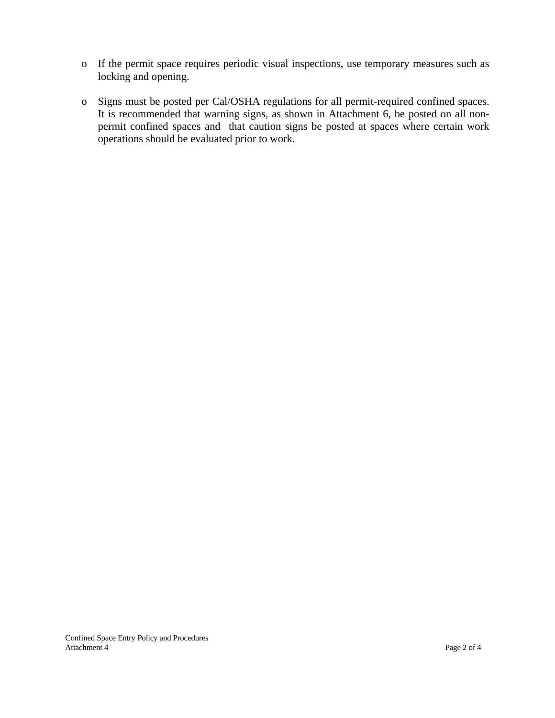- o If the permit space requires periodic visual inspections, use temporary measures such as locking and opening.
- o Signs must be posted per Cal/OSHA regulations for all permit-required confined spaces. It is recommended that warning signs, as shown in Attachment 6, be posted on all nonpermit confined spaces and that caution signs be posted at spaces where certain work operations should be evaluated prior to work.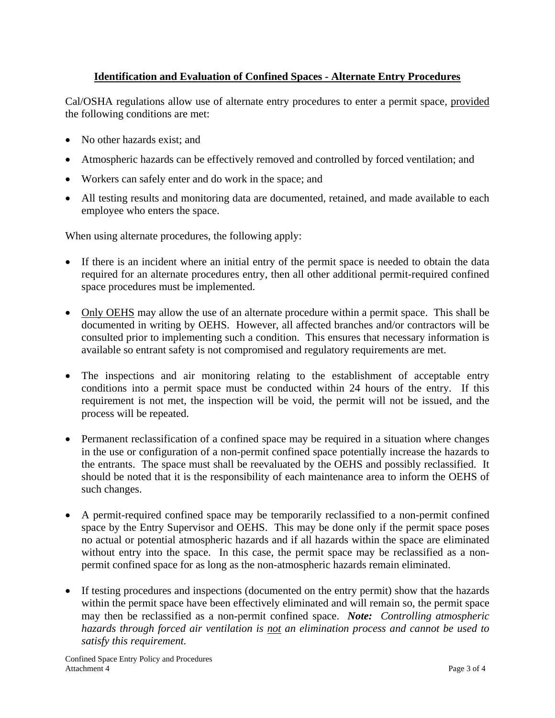# **Identification and Evaluation of Confined Spaces - Alternate Entry Procedures**

Cal/OSHA regulations allow use of alternate entry procedures to enter a permit space, provided the following conditions are met:

- No other hazards exist; and
- Atmospheric hazards can be effectively removed and controlled by forced ventilation; and
- Workers can safely enter and do work in the space; and
- All testing results and monitoring data are documented, retained, and made available to each employee who enters the space.

When using alternate procedures, the following apply:

- If there is an incident where an initial entry of the permit space is needed to obtain the data required for an alternate procedures entry, then all other additional permit-required confined space procedures must be implemented.
- Only OEHS may allow the use of an alternate procedure within a permit space. This shall be documented in writing by OEHS. However, all affected branches and/or contractors will be consulted prior to implementing such a condition. This ensures that necessary information is available so entrant safety is not compromised and regulatory requirements are met.
- The inspections and air monitoring relating to the establishment of acceptable entry conditions into a permit space must be conducted within 24 hours of the entry. If this requirement is not met, the inspection will be void, the permit will not be issued, and the process will be repeated.
- Permanent reclassification of a confined space may be required in a situation where changes in the use or configuration of a non-permit confined space potentially increase the hazards to the entrants. The space must shall be reevaluated by the OEHS and possibly reclassified. It should be noted that it is the responsibility of each maintenance area to inform the OEHS of such changes.
- A permit-required confined space may be temporarily reclassified to a non-permit confined space by the Entry Supervisor and OEHS. This may be done only if the permit space poses no actual or potential atmospheric hazards and if all hazards within the space are eliminated without entry into the space. In this case, the permit space may be reclassified as a nonpermit confined space for as long as the non-atmospheric hazards remain eliminated.
- If testing procedures and inspections (documented on the entry permit) show that the hazards within the permit space have been effectively eliminated and will remain so, the permit space may then be reclassified as a non-permit confined space. *Note: Controlling atmospheric hazards through forced air ventilation is not an elimination process and cannot be used to satisfy this requirement.*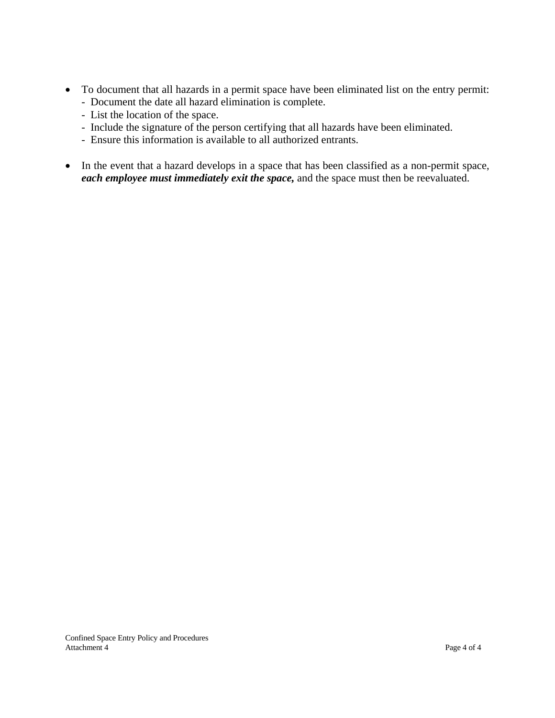- To document that all hazards in a permit space have been eliminated list on the entry permit:
	- Document the date all hazard elimination is complete.
	- List the location of the space.
	- Include the signature of the person certifying that all hazards have been eliminated.
	- Ensure this information is available to all authorized entrants.
- In the event that a hazard develops in a space that has been classified as a non-permit space, *each employee must immediately exit the space,* and the space must then be reevaluated.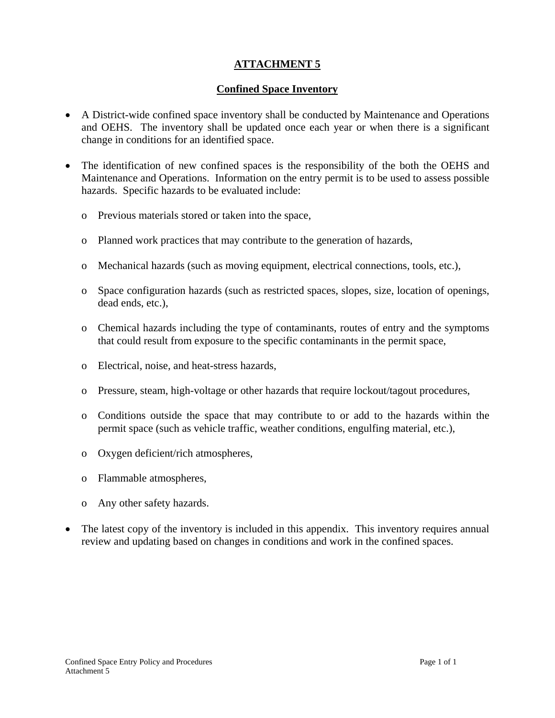# **Confined Space Inventory**

- A District-wide confined space inventory shall be conducted by Maintenance and Operations and OEHS. The inventory shall be updated once each year or when there is a significant change in conditions for an identified space.
- The identification of new confined spaces is the responsibility of the both the OEHS and Maintenance and Operations. Information on the entry permit is to be used to assess possible hazards. Specific hazards to be evaluated include:
	- o Previous materials stored or taken into the space,
	- o Planned work practices that may contribute to the generation of hazards,
	- o Mechanical hazards (such as moving equipment, electrical connections, tools, etc.),
	- o Space configuration hazards (such as restricted spaces, slopes, size, location of openings, dead ends, etc.),
	- o Chemical hazards including the type of contaminants, routes of entry and the symptoms that could result from exposure to the specific contaminants in the permit space,
	- o Electrical, noise, and heat-stress hazards,
	- o Pressure, steam, high-voltage or other hazards that require lockout/tagout procedures,
	- o Conditions outside the space that may contribute to or add to the hazards within the permit space (such as vehicle traffic, weather conditions, engulfing material, etc.),
	- o Oxygen deficient/rich atmospheres,
	- o Flammable atmospheres,
	- o Any other safety hazards.
- The latest copy of the inventory is included in this appendix. This inventory requires annual review and updating based on changes in conditions and work in the confined spaces.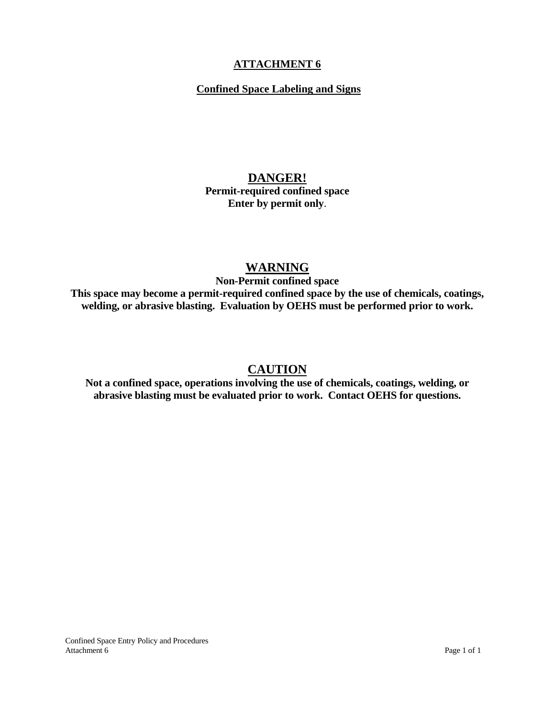# **Confined Space Labeling and Signs**

# **DANGER! Permit-required confined space Enter by permit only**.

# **WARNING**

**Non-Permit confined space** 

**This space may become a permit-required confined space by the use of chemicals, coatings, welding, or abrasive blasting. Evaluation by OEHS must be performed prior to work.** 

# **CAUTION**

**Not a confined space, operations involving the use of chemicals, coatings, welding, or abrasive blasting must be evaluated prior to work. Contact OEHS for questions.**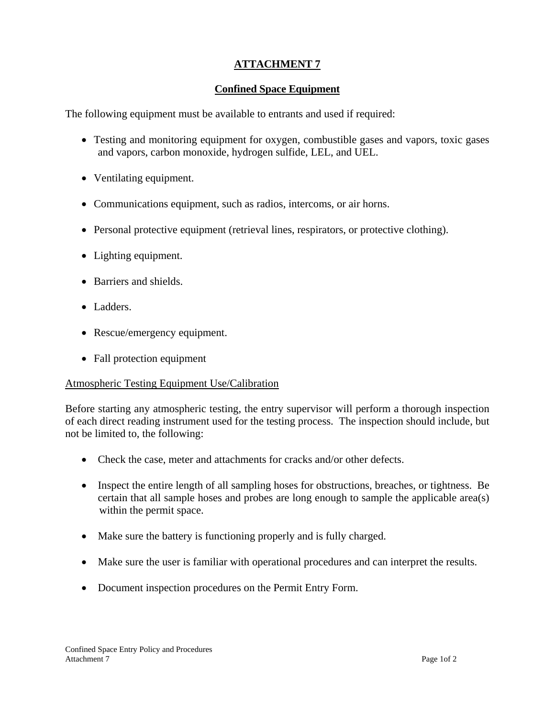# **Confined Space Equipment**

The following equipment must be available to entrants and used if required:

- Testing and monitoring equipment for oxygen, combustible gases and vapors, toxic gases and vapors, carbon monoxide, hydrogen sulfide, LEL, and UEL.
- Ventilating equipment.
- Communications equipment, such as radios, intercoms, or air horns.
- Personal protective equipment (retrieval lines, respirators, or protective clothing).
- Lighting equipment.
- Barriers and shields.
- Ladders.
- Rescue/emergency equipment.
- Fall protection equipment

### Atmospheric Testing Equipment Use/Calibration

Before starting any atmospheric testing, the entry supervisor will perform a thorough inspection of each direct reading instrument used for the testing process. The inspection should include, but not be limited to, the following:

- Check the case, meter and attachments for cracks and/or other defects.
- Inspect the entire length of all sampling hoses for obstructions, breaches, or tightness. Be certain that all sample hoses and probes are long enough to sample the applicable area(s) within the permit space.
- Make sure the battery is functioning properly and is fully charged.
- Make sure the user is familiar with operational procedures and can interpret the results.
- Document inspection procedures on the Permit Entry Form.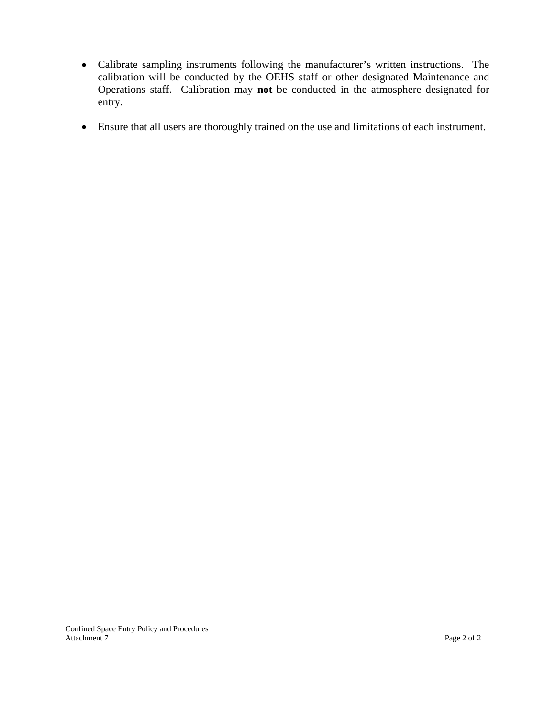- Calibrate sampling instruments following the manufacturer's written instructions. The calibration will be conducted by the OEHS staff or other designated Maintenance and Operations staff. Calibration may **not** be conducted in the atmosphere designated for entry.
- Ensure that all users are thoroughly trained on the use and limitations of each instrument.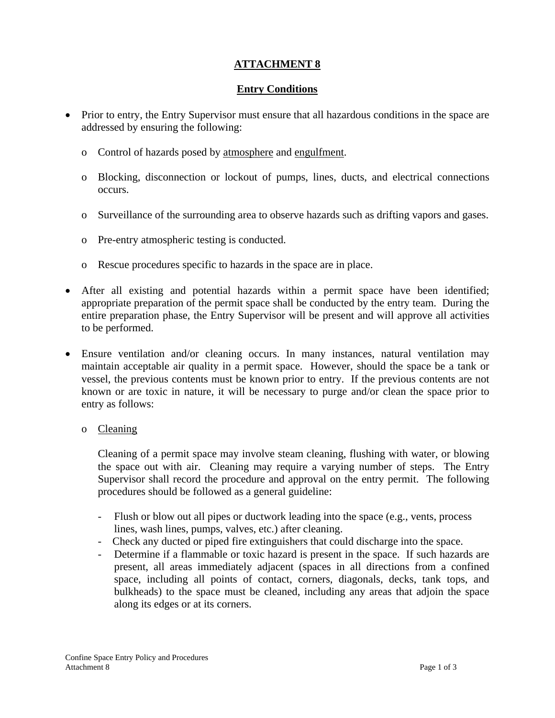# **Entry Conditions**

- Prior to entry, the Entry Supervisor must ensure that all hazardous conditions in the space are addressed by ensuring the following:
	- oControl of hazards posed by atmosphere and engulfment.
	- o Blocking, disconnection or lockout of pumps, lines, ducts, and electrical connections occurs.
	- o Surveillance of the surrounding area to observe hazards such as drifting vapors and gases.
	- o Pre-entry atmospheric testing is conducted.
	- o Rescue procedures specific to hazards in the space are in place.
- After all existing and potential hazards within a permit space have been identified; appropriate preparation of the permit space shall be conducted by the entry team. During the entire preparation phase, the Entry Supervisor will be present and will approve all activities to be performed.
- Ensure ventilation and/or cleaning occurs. In many instances, natural ventilation may maintain acceptable air quality in a permit space. However, should the space be a tank or vessel, the previous contents must be known prior to entry. If the previous contents are not known or are toxic in nature, it will be necessary to purge and/or clean the space prior to entry as follows:
	- o Cleaning

 Cleaning of a permit space may involve steam cleaning, flushing with water, or blowing the space out with air. Cleaning may require a varying number of steps. The Entry Supervisor shall record the procedure and approval on the entry permit. The following procedures should be followed as a general guideline:

- Flush or blow out all pipes or ductwork leading into the space (e.g., vents, process lines, wash lines, pumps, valves, etc.) after cleaning.
- Check any ducted or piped fire extinguishers that could discharge into the space.
- Determine if a flammable or toxic hazard is present in the space. If such hazards are present, all areas immediately adjacent (spaces in all directions from a confined space, including all points of contact, corners, diagonals, decks, tank tops, and bulkheads) to the space must be cleaned, including any areas that adjoin the space along its edges or at its corners.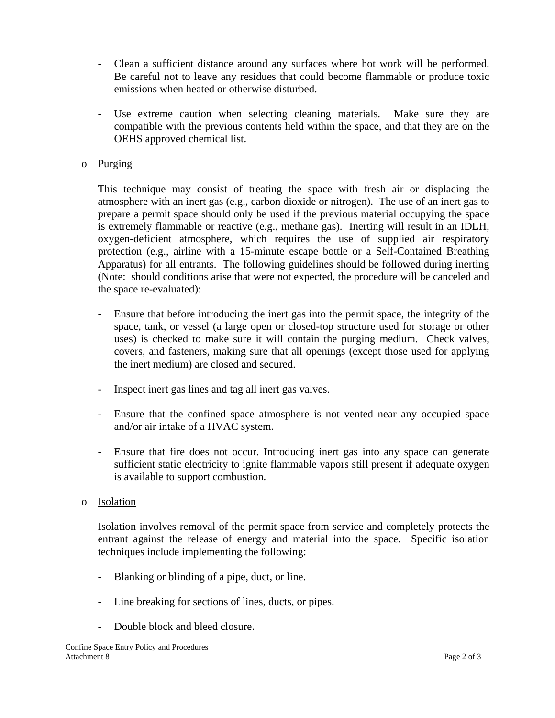- Clean a sufficient distance around any surfaces where hot work will be performed. Be careful not to leave any residues that could become flammable or produce toxic emissions when heated or otherwise disturbed.
- Use extreme caution when selecting cleaning materials. Make sure they are compatible with the previous contents held within the space, and that they are on the OEHS approved chemical list.

### o Purging

 This technique may consist of treating the space with fresh air or displacing the atmosphere with an inert gas (e.g., carbon dioxide or nitrogen). The use of an inert gas to prepare a permit space should only be used if the previous material occupying the space is extremely flammable or reactive (e.g., methane gas). Inerting will result in an IDLH, oxygen-deficient atmosphere, which requires the use of supplied air respiratory protection (e.g., airline with a 15-minute escape bottle or a Self-Contained Breathing Apparatus) for all entrants. The following guidelines should be followed during inerting (Note: should conditions arise that were not expected, the procedure will be canceled and the space re-evaluated):

- Ensure that before introducing the inert gas into the permit space, the integrity of the space, tank, or vessel (a large open or closed-top structure used for storage or other uses) is checked to make sure it will contain the purging medium. Check valves, covers, and fasteners, making sure that all openings (except those used for applying the inert medium) are closed and secured.
- Inspect inert gas lines and tag all inert gas valves.
- Ensure that the confined space atmosphere is not vented near any occupied space and/or air intake of a HVAC system.
- Ensure that fire does not occur. Introducing inert gas into any space can generate sufficient static electricity to ignite flammable vapors still present if adequate oxygen is available to support combustion.

### o Isolation

 Isolation involves removal of the permit space from service and completely protects the entrant against the release of energy and material into the space. Specific isolation techniques include implementing the following:

- Blanking or blinding of a pipe, duct, or line.
- Line breaking for sections of lines, ducts, or pipes.
- Double block and bleed closure.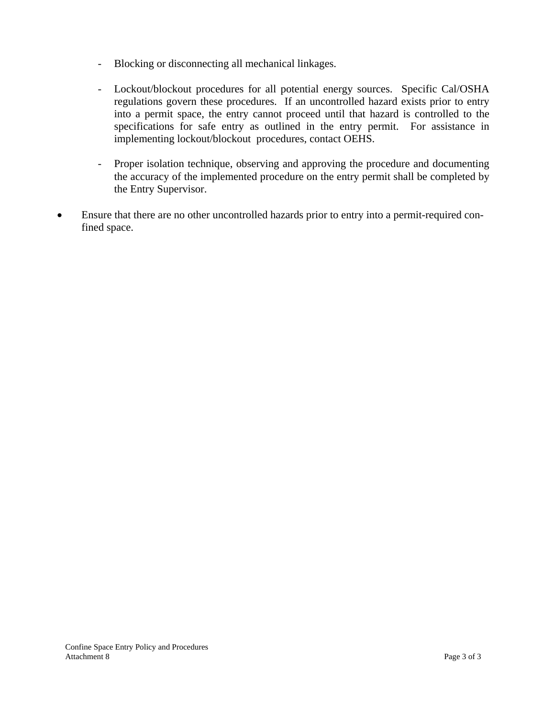- Blocking or disconnecting all mechanical linkages.
- Lockout/blockout procedures for all potential energy sources. Specific Cal/OSHA regulations govern these procedures. If an uncontrolled hazard exists prior to entry into a permit space, the entry cannot proceed until that hazard is controlled to the specifications for safe entry as outlined in the entry permit. For assistance in implementing lockout/blockout procedures, contact OEHS.
- Proper isolation technique, observing and approving the procedure and documenting the accuracy of the implemented procedure on the entry permit shall be completed by the Entry Supervisor.
- Ensure that there are no other uncontrolled hazards prior to entry into a permit-required confined space.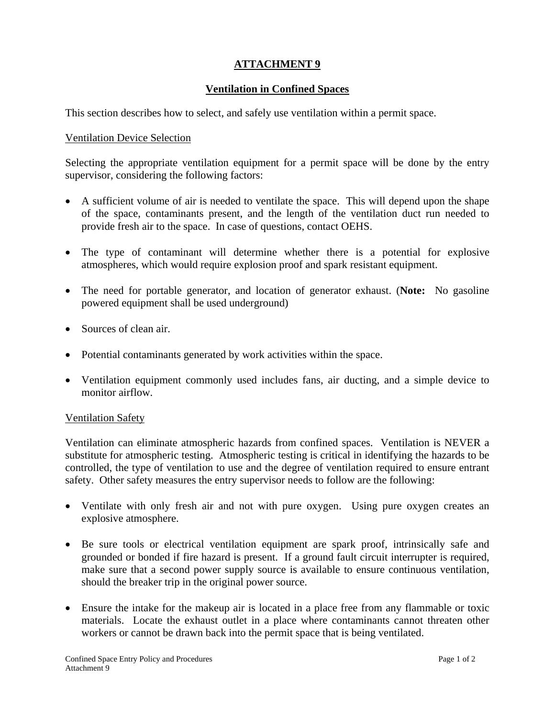# **Ventilation in Confined Spaces**

This section describes how to select, and safely use ventilation within a permit space.

### Ventilation Device Selection

Selecting the appropriate ventilation equipment for a permit space will be done by the entry supervisor, considering the following factors:

- A sufficient volume of air is needed to ventilate the space. This will depend upon the shape of the space, contaminants present, and the length of the ventilation duct run needed to provide fresh air to the space. In case of questions, contact OEHS.
- The type of contaminant will determine whether there is a potential for explosive atmospheres, which would require explosion proof and spark resistant equipment.
- The need for portable generator, and location of generator exhaust. (**Note:** No gasoline powered equipment shall be used underground)
- Sources of clean air.
- Potential contaminants generated by work activities within the space.
- Ventilation equipment commonly used includes fans, air ducting, and a simple device to monitor airflow.

### Ventilation Safety

Ventilation can eliminate atmospheric hazards from confined spaces. Ventilation is NEVER a substitute for atmospheric testing. Atmospheric testing is critical in identifying the hazards to be controlled, the type of ventilation to use and the degree of ventilation required to ensure entrant safety. Other safety measures the entry supervisor needs to follow are the following:

- Ventilate with only fresh air and not with pure oxygen. Using pure oxygen creates an explosive atmosphere.
- Be sure tools or electrical ventilation equipment are spark proof, intrinsically safe and grounded or bonded if fire hazard is present. If a ground fault circuit interrupter is required, make sure that a second power supply source is available to ensure continuous ventilation, should the breaker trip in the original power source.
- Ensure the intake for the makeup air is located in a place free from any flammable or toxic materials. Locate the exhaust outlet in a place where contaminants cannot threaten other workers or cannot be drawn back into the permit space that is being ventilated.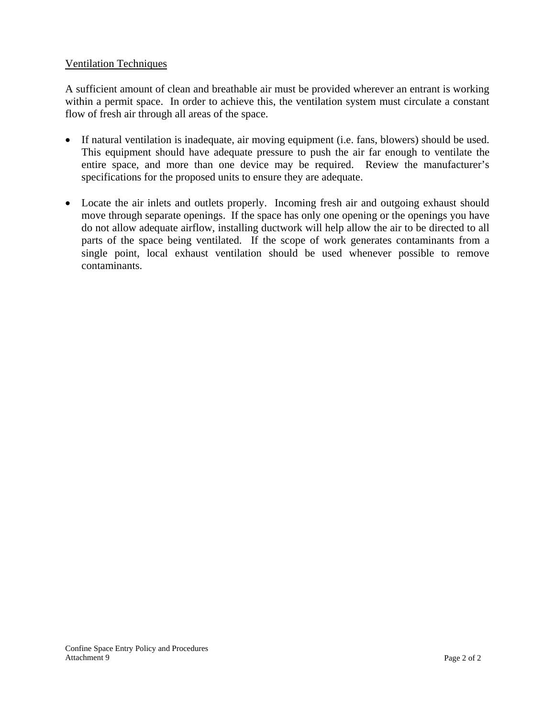### Ventilation Techniques

A sufficient amount of clean and breathable air must be provided wherever an entrant is working within a permit space. In order to achieve this, the ventilation system must circulate a constant flow of fresh air through all areas of the space.

- If natural ventilation is inadequate, air moving equipment (i.e. fans, blowers) should be used. This equipment should have adequate pressure to push the air far enough to ventilate the entire space, and more than one device may be required. Review the manufacturer's specifications for the proposed units to ensure they are adequate.
- Locate the air inlets and outlets properly. Incoming fresh air and outgoing exhaust should move through separate openings. If the space has only one opening or the openings you have do not allow adequate airflow, installing ductwork will help allow the air to be directed to all parts of the space being ventilated. If the scope of work generates contaminants from a single point, local exhaust ventilation should be used whenever possible to remove contaminants.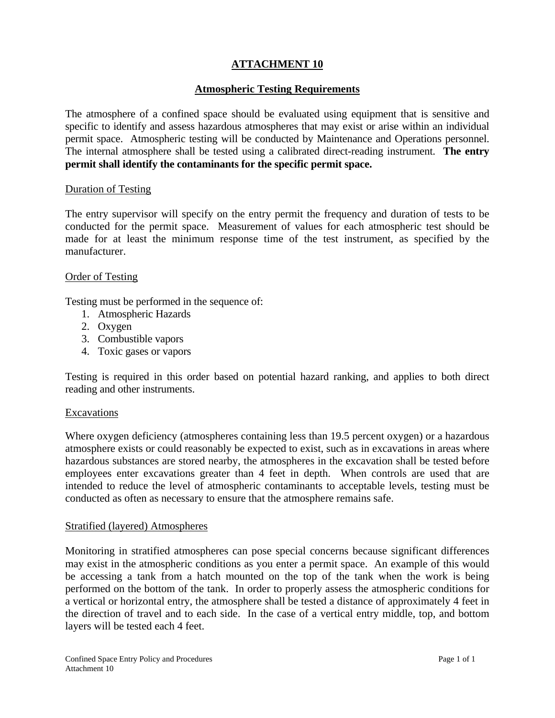### **Atmospheric Testing Requirements**

The atmosphere of a confined space should be evaluated using equipment that is sensitive and specific to identify and assess hazardous atmospheres that may exist or arise within an individual permit space. Atmospheric testing will be conducted by Maintenance and Operations personnel. The internal atmosphere shall be tested using a calibrated direct-reading instrument. **The entry permit shall identify the contaminants for the specific permit space.** 

#### Duration of Testing

The entry supervisor will specify on the entry permit the frequency and duration of tests to be conducted for the permit space. Measurement of values for each atmospheric test should be made for at least the minimum response time of the test instrument, as specified by the manufacturer.

### Order of Testing

Testing must be performed in the sequence of:

- 1. Atmospheric Hazards
- 2. Oxygen
- 3. Combustible vapors
- 4. Toxic gases or vapors

Testing is required in this order based on potential hazard ranking, and applies to both direct reading and other instruments.

### Excavations

Where oxygen deficiency (atmospheres containing less than 19.5 percent oxygen) or a hazardous atmosphere exists or could reasonably be expected to exist, such as in excavations in areas where hazardous substances are stored nearby, the atmospheres in the excavation shall be tested before employees enter excavations greater than 4 feet in depth. When controls are used that are intended to reduce the level of atmospheric contaminants to acceptable levels, testing must be conducted as often as necessary to ensure that the atmosphere remains safe.

### Stratified (layered) Atmospheres

Monitoring in stratified atmospheres can pose special concerns because significant differences may exist in the atmospheric conditions as you enter a permit space. An example of this would be accessing a tank from a hatch mounted on the top of the tank when the work is being performed on the bottom of the tank. In order to properly assess the atmospheric conditions for a vertical or horizontal entry, the atmosphere shall be tested a distance of approximately 4 feet in the direction of travel and to each side. In the case of a vertical entry middle, top, and bottom layers will be tested each 4 feet.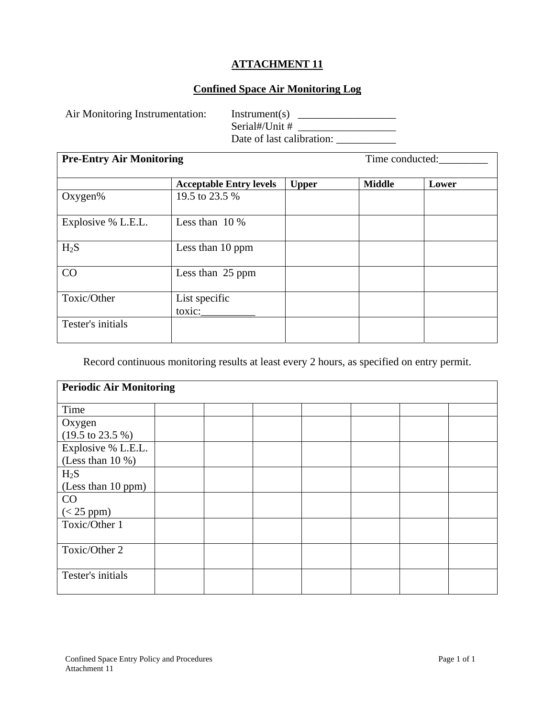# **Confined Space Air Monitoring Log**

Air Monitoring Instrumentation: Instrument(s) \_\_\_\_\_\_\_\_\_\_\_\_\_\_\_\_\_\_\_\_\_\_\_\_\_\_\_\_\_\_\_\_\_\_ Serial#/Unit # \_\_\_\_\_\_\_\_\_\_\_\_\_\_\_\_\_\_ Date of last calibration: \_\_\_\_\_\_\_\_\_\_\_

| <b>Pre-Entry Air Monitoring</b> | Time conducted:                |              |               |       |
|---------------------------------|--------------------------------|--------------|---------------|-------|
|                                 | <b>Acceptable Entry levels</b> | <b>Upper</b> | <b>Middle</b> | Lower |
| Oxygen%                         | 19.5 to 23.5 %                 |              |               |       |
| Explosive % L.E.L.              | Less than $10\%$               |              |               |       |
| $H_2S$                          | Less than 10 ppm               |              |               |       |
| CO                              | Less than 25 ppm               |              |               |       |
| Toxic/Other                     | List specific<br>toxic:        |              |               |       |
| Tester's initials               |                                |              |               |       |

Record continuous monitoring results at least every 2 hours, as specified on entry permit.

| <b>Periodic Air Monitoring</b>      |  |  |  |  |  |  |  |  |
|-------------------------------------|--|--|--|--|--|--|--|--|
| Time                                |  |  |  |  |  |  |  |  |
| Oxygen                              |  |  |  |  |  |  |  |  |
| $(19.5 \text{ to } 23.5 \text{ %})$ |  |  |  |  |  |  |  |  |
| Explosive % L.E.L.                  |  |  |  |  |  |  |  |  |
| (Less than $10\%$ )                 |  |  |  |  |  |  |  |  |
| $H_2S$                              |  |  |  |  |  |  |  |  |
| (Less than 10 ppm)                  |  |  |  |  |  |  |  |  |
| CO                                  |  |  |  |  |  |  |  |  |
| $(< 25$ ppm $)$                     |  |  |  |  |  |  |  |  |
| Toxic/Other 1                       |  |  |  |  |  |  |  |  |
|                                     |  |  |  |  |  |  |  |  |
| Toxic/Other 2                       |  |  |  |  |  |  |  |  |
|                                     |  |  |  |  |  |  |  |  |
| Tester's initials                   |  |  |  |  |  |  |  |  |
|                                     |  |  |  |  |  |  |  |  |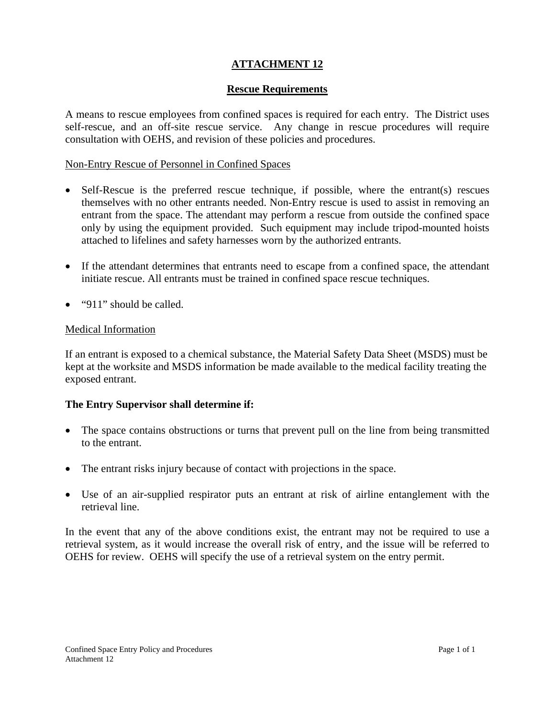# **Rescue Requirements**

A means to rescue employees from confined spaces is required for each entry. The District uses self-rescue, and an off-site rescue service. Any change in rescue procedures will require consultation with OEHS, and revision of these policies and procedures.

# Non-Entry Rescue of Personnel in Confined Spaces

- Self-Rescue is the preferred rescue technique, if possible, where the entrant(s) rescues themselves with no other entrants needed. Non-Entry rescue is used to assist in removing an entrant from the space. The attendant may perform a rescue from outside the confined space only by using the equipment provided. Such equipment may include tripod-mounted hoists attached to lifelines and safety harnesses worn by the authorized entrants.
- If the attendant determines that entrants need to escape from a confined space, the attendant initiate rescue. All entrants must be trained in confined space rescue techniques.
- "911" should be called.

# Medical Information

If an entrant is exposed to a chemical substance, the Material Safety Data Sheet (MSDS) must be kept at the worksite and MSDS information be made available to the medical facility treating the exposed entrant.

# **The Entry Supervisor shall determine if:**

- The space contains obstructions or turns that prevent pull on the line from being transmitted to the entrant.
- The entrant risks injury because of contact with projections in the space.
- Use of an air-supplied respirator puts an entrant at risk of airline entanglement with the retrieval line.

In the event that any of the above conditions exist, the entrant may not be required to use a retrieval system, as it would increase the overall risk of entry, and the issue will be referred to OEHS for review. OEHS will specify the use of a retrieval system on the entry permit.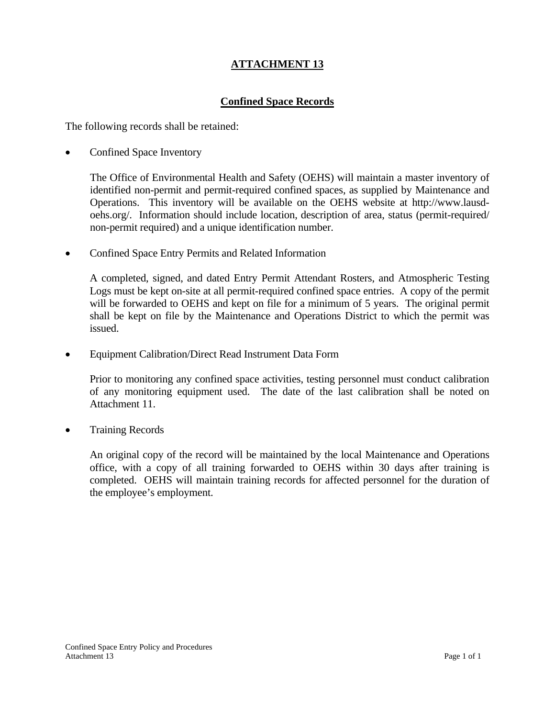# **Confined Space Records**

The following records shall be retained:

Confined Space Inventory

 The Office of Environmental Health and Safety (OEHS) will maintain a master inventory of identified non-permit and permit-required confined spaces, as supplied by Maintenance and Operations. This inventory will be available on the OEHS website at http://www.lausdoehs.org/. Information should include location, description of area, status (permit-required/ non-permit required) and a unique identification number.

• Confined Space Entry Permits and Related Information

 A completed, signed, and dated Entry Permit Attendant Rosters, and Atmospheric Testing Logs must be kept on-site at all permit-required confined space entries. A copy of the permit will be forwarded to OEHS and kept on file for a minimum of 5 years. The original permit shall be kept on file by the Maintenance and Operations District to which the permit was issued.

• Equipment Calibration/Direct Read Instrument Data Form

 Prior to monitoring any confined space activities, testing personnel must conduct calibration of any monitoring equipment used. The date of the last calibration shall be noted on Attachment 11.

• Training Records

 An original copy of the record will be maintained by the local Maintenance and Operations office, with a copy of all training forwarded to OEHS within 30 days after training is completed. OEHS will maintain training records for affected personnel for the duration of the employee's employment.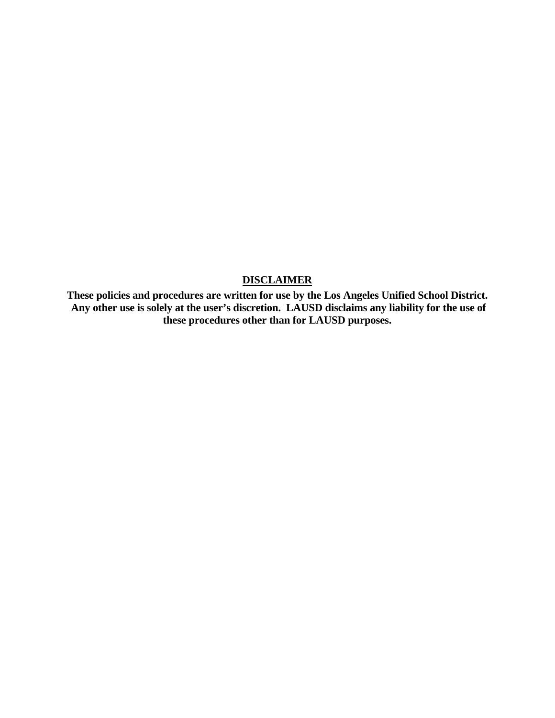### **DISCLAIMER**

**These policies and procedures are written for use by the Los Angeles Unified School District. Any other use is solely at the user's discretion. LAUSD disclaims any liability for the use of these procedures other than for LAUSD purposes.**